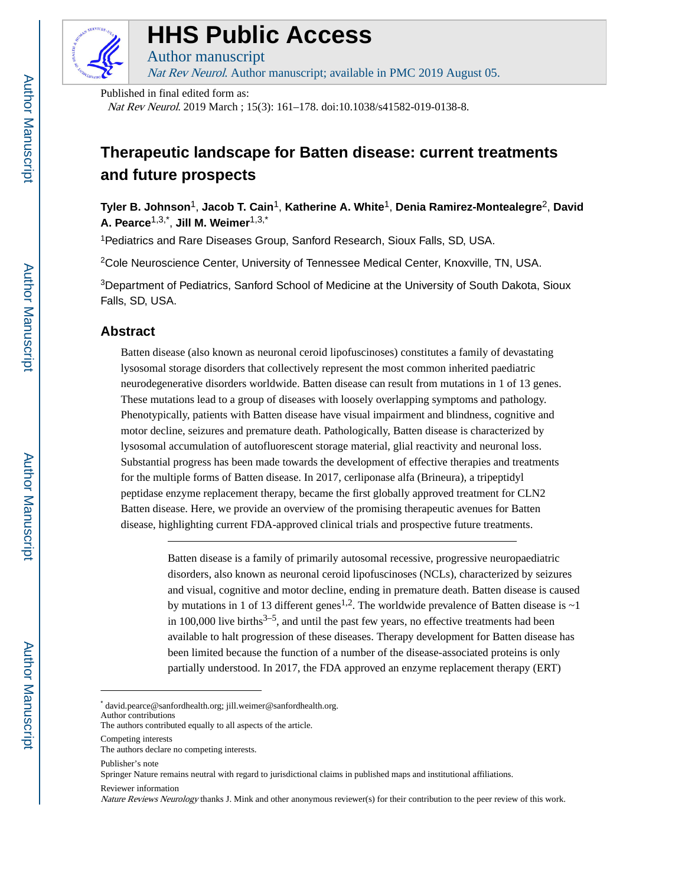

## **HHS Public Access**

Author manuscript Nat Rev Neurol. Author manuscript; available in PMC 2019 August 05.

Published in final edited form as:

Nat Rev Neurol. 2019 March ; 15(3): 161–178. doi:10.1038/s41582-019-0138-8.

## **Therapeutic landscape for Batten disease: current treatments and future prospects**

**Tyler B. Johnson**1, **Jacob T. Cain**1, **Katherine A. White**1, **Denia Ramirez-Montealegre**2, **David A. Pearce**1,3,\* , **Jill M. Weimer**1,3,\*

<sup>1</sup>Pediatrics and Rare Diseases Group, Sanford Research, Sioux Falls, SD, USA.

<sup>2</sup>Cole Neuroscience Center, University of Tennessee Medical Center, Knoxville, TN, USA.

<sup>3</sup>Department of Pediatrics, Sanford School of Medicine at the University of South Dakota, Sioux Falls, SD, USA.

#### **Abstract**

Batten disease (also known as neuronal ceroid lipofuscinoses) constitutes a family of devastating lysosomal storage disorders that collectively represent the most common inherited paediatric neurodegenerative disorders worldwide. Batten disease can result from mutations in 1 of 13 genes. These mutations lead to a group of diseases with loosely overlapping symptoms and pathology. Phenotypically, patients with Batten disease have visual impairment and blindness, cognitive and motor decline, seizures and premature death. Pathologically, Batten disease is characterized by lysosomal accumulation of autofluorescent storage material, glial reactivity and neuronal loss. Substantial progress has been made towards the development of effective therapies and treatments for the multiple forms of Batten disease. In 2017, cerliponase alfa (Brineura), a tripeptidyl peptidase enzyme replacement therapy, became the first globally approved treatment for CLN2 Batten disease. Here, we provide an overview of the promising therapeutic avenues for Batten disease, highlighting current FDA-approved clinical trials and prospective future treatments.

> Batten disease is a family of primarily autosomal recessive, progressive neuropaediatric disorders, also known as neuronal ceroid lipofuscinoses (NCLs), characterized by seizures and visual, cognitive and motor decline, ending in premature death. Batten disease is caused by mutations in 1 of 13 different genes<sup>1,2</sup>. The worldwide prevalence of Batten disease is  $\sim$ 1 in 100,000 live births<sup> $3-5$ </sup>, and until the past few years, no effective treatments had been available to halt progression of these diseases. Therapy development for Batten disease has been limited because the function of a number of the disease-associated proteins is only partially understood. In 2017, the FDA approved an enzyme replacement therapy (ERT)

\* david.pearce@sanfordhealth.org; jill.weimer@sanfordhealth.org.

Author contributions

Competing interests

Springer Nature remains neutral with regard to jurisdictional claims in published maps and institutional affiliations.

Reviewer information

The authors contributed equally to all aspects of the article.

The authors declare no competing interests.

Publisher's note

Nature Reviews Neurology thanks J. Mink and other anonymous reviewer(s) for their contribution to the peer review of this work.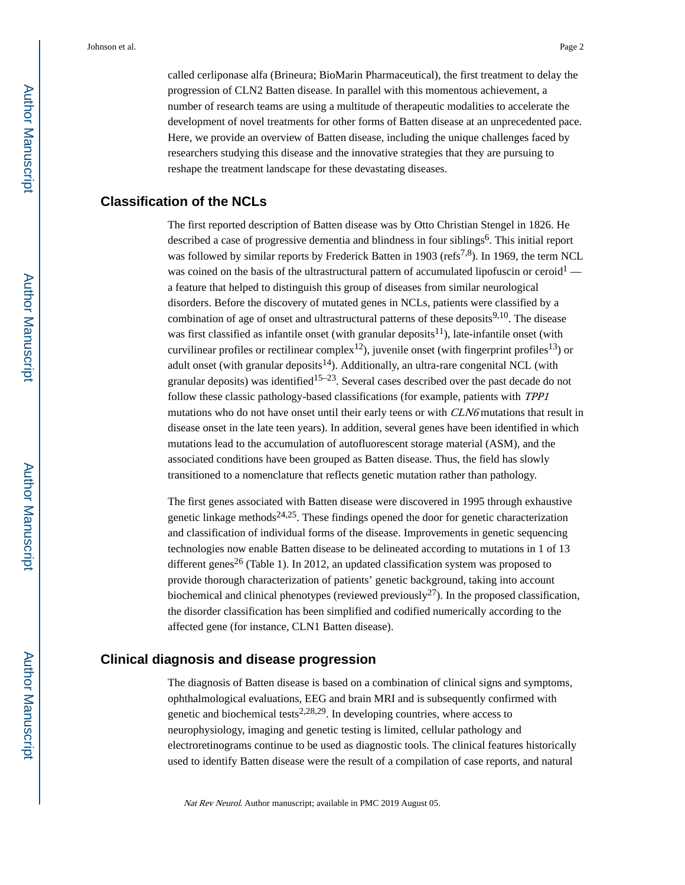called cerliponase alfa (Brineura; BioMarin Pharmaceutical), the first treatment to delay the progression of CLN2 Batten disease. In parallel with this momentous achievement, a number of research teams are using a multitude of therapeutic modalities to accelerate the development of novel treatments for other forms of Batten disease at an unprecedented pace. Here, we provide an overview of Batten disease, including the unique challenges faced by researchers studying this disease and the innovative strategies that they are pursuing to reshape the treatment landscape for these devastating diseases.

#### **Classification of the NCLs**

The first reported description of Batten disease was by Otto Christian Stengel in 1826. He described a case of progressive dementia and blindness in four siblings<sup>6</sup>. This initial report was followed by similar reports by Frederick Batten in 1903 ( $\text{refs}^{7,8}$ ). In 1969, the term NCL was coined on the basis of the ultrastructural pattern of accumulated lipofuscin or ceroid<sup>1</sup> a feature that helped to distinguish this group of diseases from similar neurological disorders. Before the discovery of mutated genes in NCLs, patients were classified by a combination of age of onset and ultrastructural patterns of these deposits<sup>9,10</sup>. The disease was first classified as infantile onset (with granular deposits<sup>11</sup>), late-infantile onset (with curvilinear profiles or rectilinear complex<sup>12</sup>), juvenile onset (with fingerprint profiles<sup>13</sup>) or adult onset (with granular deposits $^{14}$ ). Additionally, an ultra-rare congenital NCL (with granular deposits) was identified<sup>15–23</sup>. Several cases described over the past decade do not follow these classic pathology-based classifications (for example, patients with TPP1 mutations who do not have onset until their early teens or with CLN6 mutations that result in disease onset in the late teen years). In addition, several genes have been identified in which mutations lead to the accumulation of autofluorescent storage material (ASM), and the associated conditions have been grouped as Batten disease. Thus, the field has slowly transitioned to a nomenclature that reflects genetic mutation rather than pathology.

The first genes associated with Batten disease were discovered in 1995 through exhaustive genetic linkage methods<sup>24,25</sup>. These findings opened the door for genetic characterization and classification of individual forms of the disease. Improvements in genetic sequencing technologies now enable Batten disease to be delineated according to mutations in 1 of 13 different genes<sup>26</sup> (Table 1). In 2012, an updated classification system was proposed to provide thorough characterization of patients' genetic background, taking into account biochemical and clinical phenotypes (reviewed previously<sup>27</sup>). In the proposed classification, the disorder classification has been simplified and codified numerically according to the affected gene (for instance, CLN1 Batten disease).

#### **Clinical diagnosis and disease progression**

The diagnosis of Batten disease is based on a combination of clinical signs and symptoms, ophthalmological evaluations, EEG and brain MRI and is subsequently confirmed with genetic and biochemical tests<sup>2,28,29</sup>. In developing countries, where access to neurophysiology, imaging and genetic testing is limited, cellular pathology and electroretinograms continue to be used as diagnostic tools. The clinical features historically used to identify Batten disease were the result of a compilation of case reports, and natural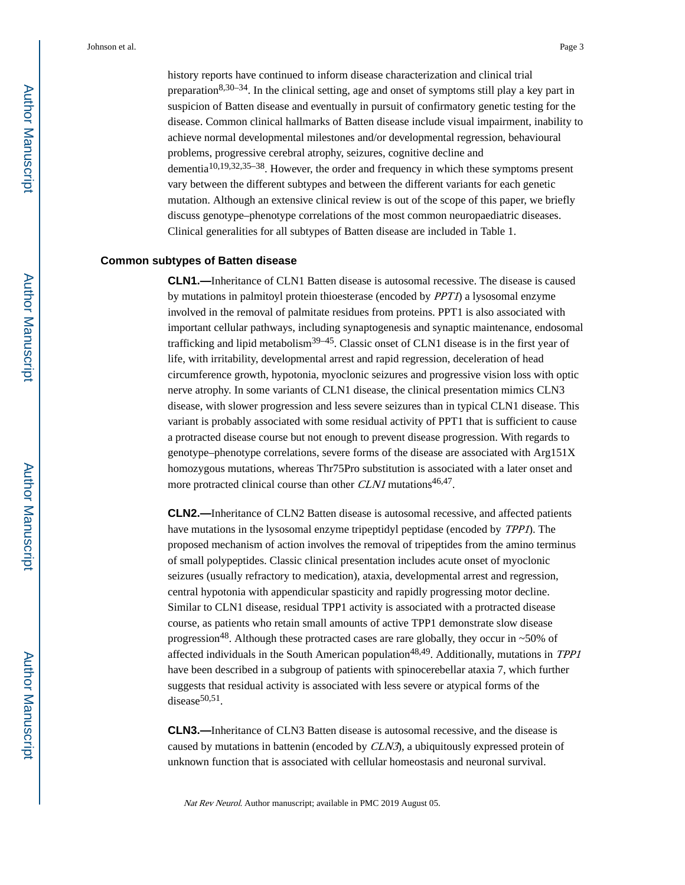history reports have continued to inform disease characterization and clinical trial preparation<sup>8,30–34</sup>. In the clinical setting, age and onset of symptoms still play a key part in suspicion of Batten disease and eventually in pursuit of confirmatory genetic testing for the disease. Common clinical hallmarks of Batten disease include visual impairment, inability to achieve normal developmental milestones and/or developmental regression, behavioural problems, progressive cerebral atrophy, seizures, cognitive decline and dementia $10,19,32,35-38$ . However, the order and frequency in which these symptoms present vary between the different subtypes and between the different variants for each genetic mutation. Although an extensive clinical review is out of the scope of this paper, we briefly discuss genotype–phenotype correlations of the most common neuropaediatric diseases. Clinical generalities for all subtypes of Batten disease are included in Table 1.

#### **Common subtypes of Batten disease**

**CLN1.—**Inheritance of CLN1 Batten disease is autosomal recessive. The disease is caused by mutations in palmitoyl protein thioesterase (encoded by PPT1) a lysosomal enzyme involved in the removal of palmitate residues from proteins. PPT1 is also associated with important cellular pathways, including synaptogenesis and synaptic maintenance, endosomal trafficking and lipid metabolism<sup>39–45</sup>. Classic onset of CLN1 disease is in the first year of life, with irritability, developmental arrest and rapid regression, deceleration of head circumference growth, hypotonia, myoclonic seizures and progressive vision loss with optic nerve atrophy. In some variants of CLN1 disease, the clinical presentation mimics CLN3 disease, with slower progression and less severe seizures than in typical CLN1 disease. This variant is probably associated with some residual activity of PPT1 that is sufficient to cause a protracted disease course but not enough to prevent disease progression. With regards to genotype–phenotype correlations, severe forms of the disease are associated with Arg151X homozygous mutations, whereas Thr75Pro substitution is associated with a later onset and more protracted clinical course than other CLN1 mutations<sup>46,47</sup>.

**CLN2.—**Inheritance of CLN2 Batten disease is autosomal recessive, and affected patients have mutations in the lysosomal enzyme tripeptidyl peptidase (encoded by TPP1). The proposed mechanism of action involves the removal of tripeptides from the amino terminus of small polypeptides. Classic clinical presentation includes acute onset of myoclonic seizures (usually refractory to medication), ataxia, developmental arrest and regression, central hypotonia with appendicular spasticity and rapidly progressing motor decline. Similar to CLN1 disease, residual TPP1 activity is associated with a protracted disease course, as patients who retain small amounts of active TPP1 demonstrate slow disease progression<sup>48</sup>. Although these protracted cases are rare globally, they occur in ~50% of affected individuals in the South American population<sup>48,49</sup>. Additionally, mutations in TPP1 have been described in a subgroup of patients with spinocerebellar ataxia 7, which further suggests that residual activity is associated with less severe or atypical forms of the disease $50,51$ .

**CLN3.—**Inheritance of CLN3 Batten disease is autosomal recessive, and the disease is caused by mutations in battenin (encoded by CLN3), a ubiquitously expressed protein of unknown function that is associated with cellular homeostasis and neuronal survival.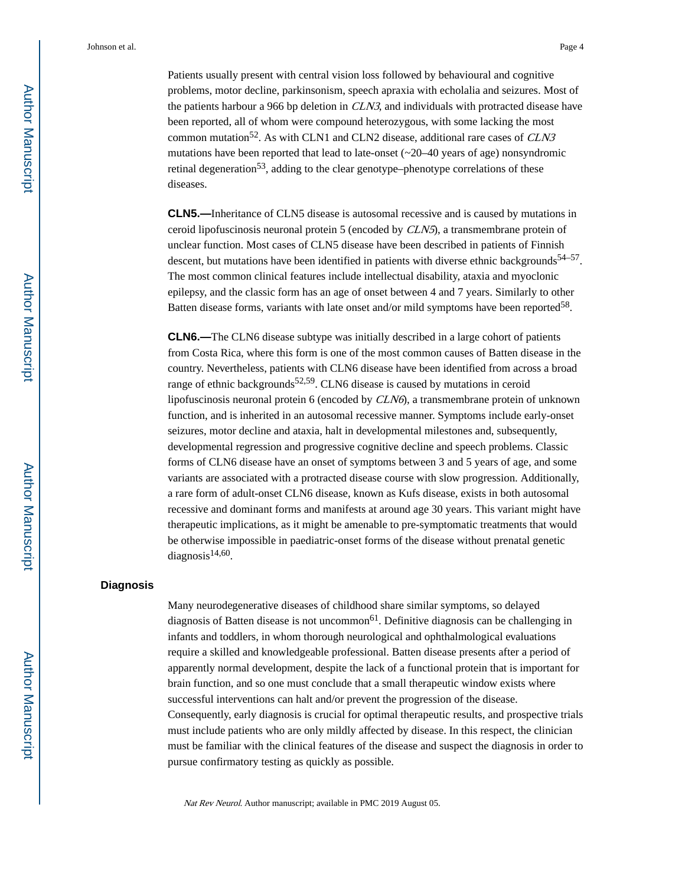Patients usually present with central vision loss followed by behavioural and cognitive problems, motor decline, parkinsonism, speech apraxia with echolalia and seizures. Most of the patients harbour a 966 bp deletion in CLN3, and individuals with protracted disease have been reported, all of whom were compound heterozygous, with some lacking the most common mutation<sup>52</sup>. As with CLN1 and CLN2 disease, additional rare cases of *CLN3* mutations have been reported that lead to late-onset  $(\sim 20-40$  years of age) nonsyndromic retinal degeneration<sup>53</sup>, adding to the clear genotype–phenotype correlations of these diseases.

**CLN5.—**Inheritance of CLN5 disease is autosomal recessive and is caused by mutations in ceroid lipofuscinosis neuronal protein 5 (encoded by CLN5), a transmembrane protein of unclear function. Most cases of CLN5 disease have been described in patients of Finnish descent, but mutations have been identified in patients with diverse ethnic backgrounds<sup>54–57</sup>. The most common clinical features include intellectual disability, ataxia and myoclonic epilepsy, and the classic form has an age of onset between 4 and 7 years. Similarly to other Batten disease forms, variants with late onset and/or mild symptoms have been reported<sup>58</sup>.

**CLN6.—**The CLN6 disease subtype was initially described in a large cohort of patients from Costa Rica, where this form is one of the most common causes of Batten disease in the country. Nevertheless, patients with CLN6 disease have been identified from across a broad range of ethnic backgrounds<sup>52,59</sup>. CLN6 disease is caused by mutations in ceroid lipofuscinosis neuronal protein 6 (encoded by CLN6), a transmembrane protein of unknown function, and is inherited in an autosomal recessive manner. Symptoms include early-onset seizures, motor decline and ataxia, halt in developmental milestones and, subsequently, developmental regression and progressive cognitive decline and speech problems. Classic forms of CLN6 disease have an onset of symptoms between 3 and 5 years of age, and some variants are associated with a protracted disease course with slow progression. Additionally, a rare form of adult-onset CLN6 disease, known as Kufs disease, exists in both autosomal recessive and dominant forms and manifests at around age 30 years. This variant might have therapeutic implications, as it might be amenable to pre-symptomatic treatments that would be otherwise impossible in paediatric-onset forms of the disease without prenatal genetic diagnosis<sup>14,60</sup>.

#### **Diagnosis**

Many neurodegenerative diseases of childhood share similar symptoms, so delayed diagnosis of Batten disease is not uncommon<sup>61</sup>. Definitive diagnosis can be challenging in infants and toddlers, in whom thorough neurological and ophthalmological evaluations require a skilled and knowledgeable professional. Batten disease presents after a period of apparently normal development, despite the lack of a functional protein that is important for brain function, and so one must conclude that a small therapeutic window exists where successful interventions can halt and/or prevent the progression of the disease. Consequently, early diagnosis is crucial for optimal therapeutic results, and prospective trials must include patients who are only mildly affected by disease. In this respect, the clinician must be familiar with the clinical features of the disease and suspect the diagnosis in order to pursue confirmatory testing as quickly as possible.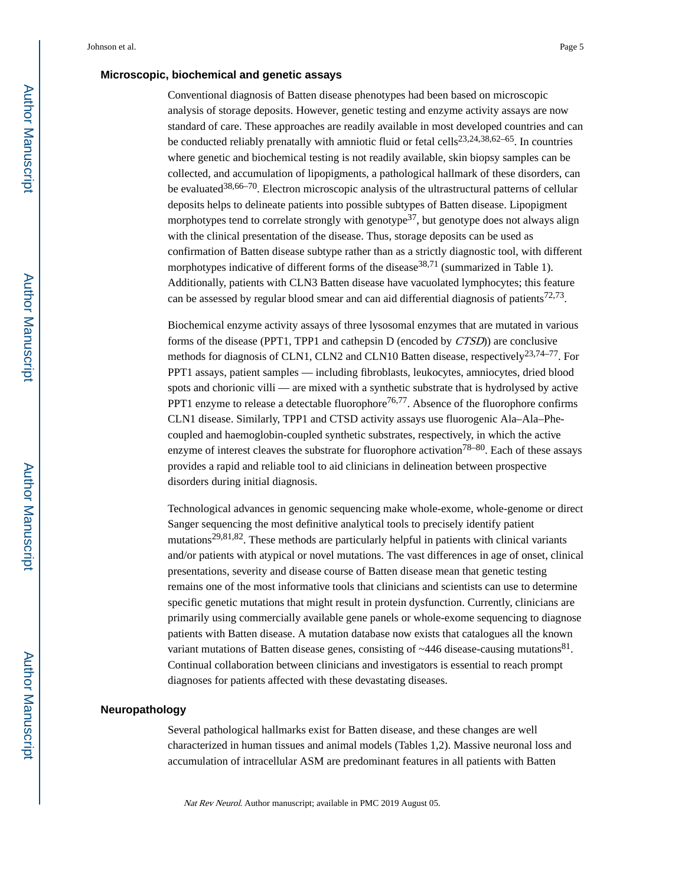#### **Microscopic, biochemical and genetic assays**

Conventional diagnosis of Batten disease phenotypes had been based on microscopic analysis of storage deposits. However, genetic testing and enzyme activity assays are now standard of care. These approaches are readily available in most developed countries and can be conducted reliably prenatally with amniotic fluid or fetal cells<sup>23,24,38,62–65</sup>. In countries where genetic and biochemical testing is not readily available, skin biopsy samples can be collected, and accumulation of lipopigments, a pathological hallmark of these disorders, can be evaluated<sup>38,66–70</sup>. Electron microscopic analysis of the ultrastructural patterns of cellular deposits helps to delineate patients into possible subtypes of Batten disease. Lipopigment morphotypes tend to correlate strongly with genotype<sup>37</sup>, but genotype does not always align with the clinical presentation of the disease. Thus, storage deposits can be used as confirmation of Batten disease subtype rather than as a strictly diagnostic tool, with different morphotypes indicative of different forms of the disease  $38,71$  (summarized in Table 1). Additionally, patients with CLN3 Batten disease have vacuolated lymphocytes; this feature can be assessed by regular blood smear and can aid differential diagnosis of patients<sup>72,73</sup>.

Biochemical enzyme activity assays of three lysosomal enzymes that are mutated in various forms of the disease (PPT1, TPP1 and cathepsin D (encoded by CTSD)) are conclusive methods for diagnosis of CLN1, CLN2 and CLN10 Batten disease, respectively<sup>23,74–77</sup>. For PPT1 assays, patient samples — including fibroblasts, leukocytes, amniocytes, dried blood spots and chorionic villi — are mixed with a synthetic substrate that is hydrolysed by active PPT1 enzyme to release a detectable fluorophore<sup>76,77</sup>. Absence of the fluorophore confirms CLN1 disease. Similarly, TPP1 and CTSD activity assays use fluorogenic Ala–Ala–Phecoupled and haemoglobin-coupled synthetic substrates, respectively, in which the active enzyme of interest cleaves the substrate for fluorophore activation<sup>78–80</sup>. Each of these assays provides a rapid and reliable tool to aid clinicians in delineation between prospective disorders during initial diagnosis.

Technological advances in genomic sequencing make whole-exome, whole-genome or direct Sanger sequencing the most definitive analytical tools to precisely identify patient mutations<sup>29,81,82</sup>. These methods are particularly helpful in patients with clinical variants and/or patients with atypical or novel mutations. The vast differences in age of onset, clinical presentations, severity and disease course of Batten disease mean that genetic testing remains one of the most informative tools that clinicians and scientists can use to determine specific genetic mutations that might result in protein dysfunction. Currently, clinicians are primarily using commercially available gene panels or whole-exome sequencing to diagnose patients with Batten disease. A mutation database now exists that catalogues all the known variant mutations of Batten disease genes, consisting of  $\sim$ 446 disease-causing mutations $81$ . Continual collaboration between clinicians and investigators is essential to reach prompt diagnoses for patients affected with these devastating diseases.

#### **Neuropathology**

Several pathological hallmarks exist for Batten disease, and these changes are well characterized in human tissues and animal models (Tables 1,2). Massive neuronal loss and accumulation of intracellular ASM are predominant features in all patients with Batten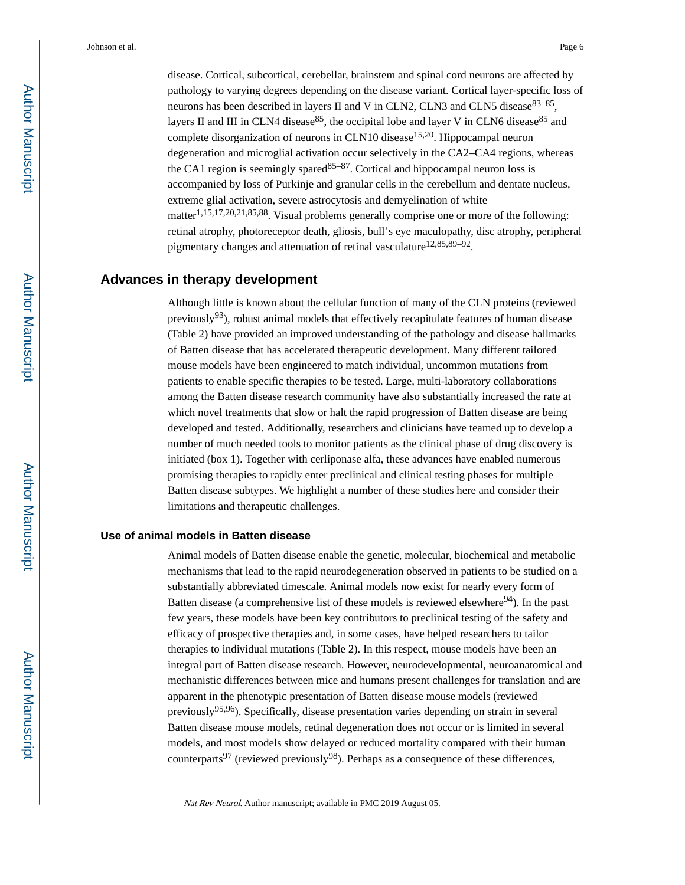disease. Cortical, subcortical, cerebellar, brainstem and spinal cord neurons are affected by pathology to varying degrees depending on the disease variant. Cortical layer-specific loss of neurons has been described in layers II and V in CLN2, CLN3 and CLN5 disease<sup>83–85</sup>, layers II and III in CLN4 disease<sup>85</sup>, the occipital lobe and layer V in CLN6 disease<sup>85</sup> and complete disorganization of neurons in CLN10 disease<sup>15,20</sup>. Hippocampal neuron degeneration and microglial activation occur selectively in the CA2–CA4 regions, whereas the CA1 region is seemingly spared  $85-87$ . Cortical and hippocampal neuron loss is accompanied by loss of Purkinje and granular cells in the cerebellum and dentate nucleus, extreme glial activation, severe astrocytosis and demyelination of white matter<sup>1,15,17,20,21,85,88</sup>. Visual problems generally comprise one or more of the following: retinal atrophy, photoreceptor death, gliosis, bull's eye maculopathy, disc atrophy, peripheral pigmentary changes and attenuation of retinal vasculature<sup>12,85,89–92</sup>.

### **Advances in therapy development**

Although little is known about the cellular function of many of the CLN proteins (reviewed previously<sup>93</sup>), robust animal models that effectively recapitulate features of human disease (Table 2) have provided an improved understanding of the pathology and disease hallmarks of Batten disease that has accelerated therapeutic development. Many different tailored mouse models have been engineered to match individual, uncommon mutations from patients to enable specific therapies to be tested. Large, multi-laboratory collaborations among the Batten disease research community have also substantially increased the rate at which novel treatments that slow or halt the rapid progression of Batten disease are being developed and tested. Additionally, researchers and clinicians have teamed up to develop a number of much needed tools to monitor patients as the clinical phase of drug discovery is initiated (box 1). Together with cerliponase alfa, these advances have enabled numerous promising therapies to rapidly enter preclinical and clinical testing phases for multiple Batten disease subtypes. We highlight a number of these studies here and consider their limitations and therapeutic challenges.

#### **Use of animal models in Batten disease**

Animal models of Batten disease enable the genetic, molecular, biochemical and metabolic mechanisms that lead to the rapid neurodegeneration observed in patients to be studied on a substantially abbreviated timescale. Animal models now exist for nearly every form of Batten disease (a comprehensive list of these models is reviewed elsewhere $94$ ). In the past few years, these models have been key contributors to preclinical testing of the safety and efficacy of prospective therapies and, in some cases, have helped researchers to tailor therapies to individual mutations (Table 2). In this respect, mouse models have been an integral part of Batten disease research. However, neurodevelopmental, neuroanatomical and mechanistic differences between mice and humans present challenges for translation and are apparent in the phenotypic presentation of Batten disease mouse models (reviewed previously<sup>95,96</sup>). Specifically, disease presentation varies depending on strain in several Batten disease mouse models, retinal degeneration does not occur or is limited in several models, and most models show delayed or reduced mortality compared with their human counterparts<sup>97</sup> (reviewed previously<sup>98</sup>). Perhaps as a consequence of these differences,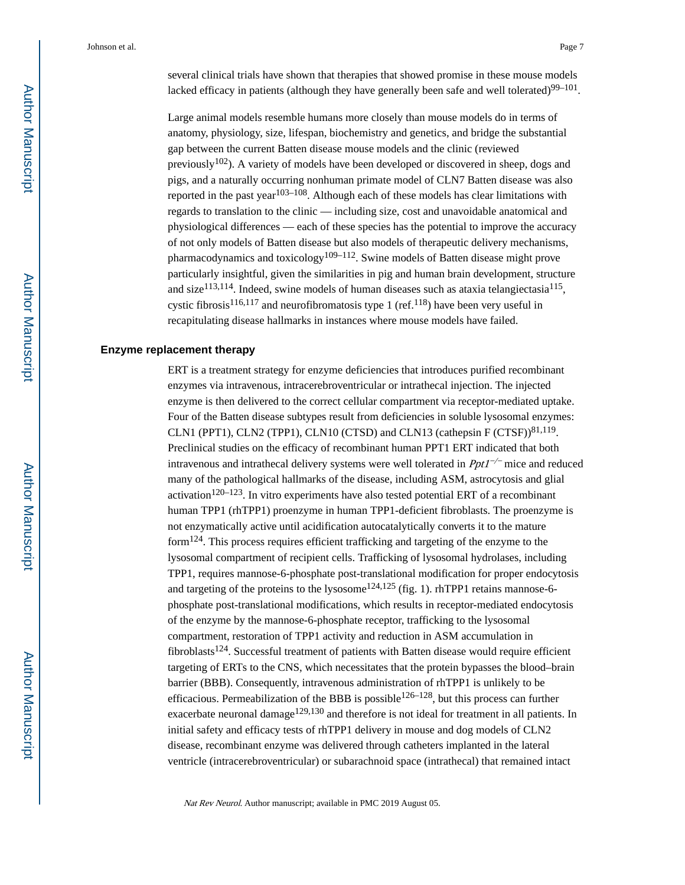several clinical trials have shown that therapies that showed promise in these mouse models lacked efficacy in patients (although they have generally been safe and well tolerated) $99-101$ .

Large animal models resemble humans more closely than mouse models do in terms of anatomy, physiology, size, lifespan, biochemistry and genetics, and bridge the substantial gap between the current Batten disease mouse models and the clinic (reviewed previously<sup>102</sup>). A variety of models have been developed or discovered in sheep, dogs and pigs, and a naturally occurring nonhuman primate model of CLN7 Batten disease was also reported in the past year<sup>103–108</sup>. Although each of these models has clear limitations with regards to translation to the clinic — including size, cost and unavoidable anatomical and physiological differences — each of these species has the potential to improve the accuracy of not only models of Batten disease but also models of therapeutic delivery mechanisms, pharmacodynamics and toxicology<sup>109–112</sup>. Swine models of Batten disease might prove particularly insightful, given the similarities in pig and human brain development, structure and size<sup>113,114</sup>. Indeed, swine models of human diseases such as ataxia telangiectasia<sup>115</sup>, cystic fibrosis<sup>116,117</sup> and neurofibromatosis type 1 (ref.<sup>118</sup>) have been very useful in recapitulating disease hallmarks in instances where mouse models have failed.

#### **Enzyme replacement therapy**

ERT is a treatment strategy for enzyme deficiencies that introduces purified recombinant enzymes via intravenous, intracerebroventricular or intrathecal injection. The injected enzyme is then delivered to the correct cellular compartment via receptor-mediated uptake. Four of the Batten disease subtypes result from deficiencies in soluble lysosomal enzymes: CLN1 (PPT1), CLN2 (TPP1), CLN10 (CTSD) and CLN13 (cathepsin  $F (CTSF)$ <sup>81,119</sup>. Preclinical studies on the efficacy of recombinant human PPT1 ERT indicated that both intravenous and intrathecal delivery systems were well tolerated in  $Ppt1^{-/-}$  mice and reduced many of the pathological hallmarks of the disease, including ASM, astrocytosis and glial activation<sup>120–123</sup>. In vitro experiments have also tested potential ERT of a recombinant human TPP1 (rhTPP1) proenzyme in human TPP1-deficient fibroblasts. The proenzyme is not enzymatically active until acidification autocatalytically converts it to the mature form124. This process requires efficient trafficking and targeting of the enzyme to the lysosomal compartment of recipient cells. Trafficking of lysosomal hydrolases, including TPP1, requires mannose-6-phosphate post-translational modification for proper endocytosis and targeting of the proteins to the lysosome<sup>124,125</sup> (fig. 1). rhTPP1 retains mannose-6phosphate post-translational modifications, which results in receptor-mediated endocytosis of the enzyme by the mannose-6-phosphate receptor, trafficking to the lysosomal compartment, restoration of TPP1 activity and reduction in ASM accumulation in  $fibroblasts<sup>124</sup>$ . Successful treatment of patients with Batten disease would require efficient targeting of ERTs to the CNS, which necessitates that the protein bypasses the blood–brain barrier (BBB). Consequently, intravenous administration of rhTPP1 is unlikely to be efficacious. Permeabilization of the BBB is possible<sup>126–128</sup>, but this process can further exacerbate neuronal damage<sup>129,130</sup> and therefore is not ideal for treatment in all patients. In initial safety and efficacy tests of rhTPP1 delivery in mouse and dog models of CLN2 disease, recombinant enzyme was delivered through catheters implanted in the lateral ventricle (intracerebroventricular) or subarachnoid space (intrathecal) that remained intact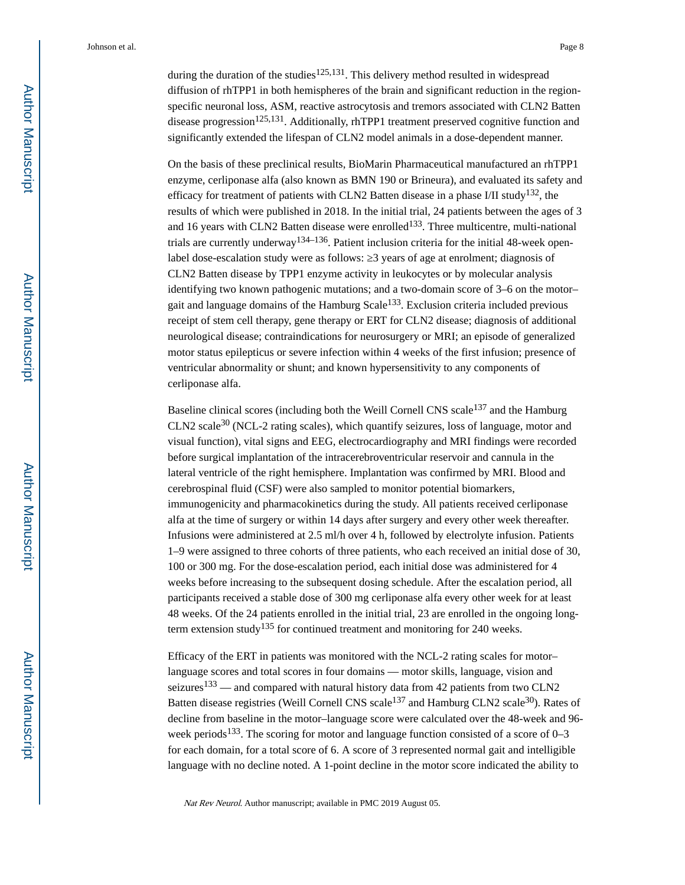during the duration of the studies<sup>125,131</sup>. This delivery method resulted in widespread diffusion of rhTPP1 in both hemispheres of the brain and significant reduction in the regionspecific neuronal loss, ASM, reactive astrocytosis and tremors associated with CLN2 Batten disease progression<sup>125,131</sup>. Additionally, rhTPP1 treatment preserved cognitive function and significantly extended the lifespan of CLN2 model animals in a dose-dependent manner.

On the basis of these preclinical results, BioMarin Pharmaceutical manufactured an rhTPP1 enzyme, cerliponase alfa (also known as BMN 190 or Brineura), and evaluated its safety and efficacy for treatment of patients with CLN2 Batten disease in a phase I/II study<sup>132</sup>, the results of which were published in 2018. In the initial trial, 24 patients between the ages of 3 and 16 years with CLN2 Batten disease were enrolled<sup>133</sup>. Three multicentre, multi-national trials are currently underway<sup>134–136</sup>. Patient inclusion criteria for the initial 48-week openlabel dose-escalation study were as follows: 3 years of age at enrolment; diagnosis of CLN2 Batten disease by TPP1 enzyme activity in leukocytes or by molecular analysis identifying two known pathogenic mutations; and a two-domain score of 3–6 on the motor– gait and language domains of the Hamburg  $Scale<sup>133</sup>$ . Exclusion criteria included previous receipt of stem cell therapy, gene therapy or ERT for CLN2 disease; diagnosis of additional neurological disease; contraindications for neurosurgery or MRI; an episode of generalized motor status epilepticus or severe infection within 4 weeks of the first infusion; presence of ventricular abnormality or shunt; and known hypersensitivity to any components of cerliponase alfa.

Baseline clinical scores (including both the Weill Cornell CNS scale<sup>137</sup> and the Hamburg CLN2 scale30 (NCL-2 rating scales), which quantify seizures, loss of language, motor and visual function), vital signs and EEG, electrocardiography and MRI findings were recorded before surgical implantation of the intracerebroventricular reservoir and cannula in the lateral ventricle of the right hemisphere. Implantation was confirmed by MRI. Blood and cerebrospinal fluid (CSF) were also sampled to monitor potential biomarkers, immunogenicity and pharmacokinetics during the study. All patients received cerliponase alfa at the time of surgery or within 14 days after surgery and every other week thereafter. Infusions were administered at 2.5 ml/h over 4 h, followed by electrolyte infusion. Patients 1–9 were assigned to three cohorts of three patients, who each received an initial dose of 30, 100 or 300 mg. For the dose-escalation period, each initial dose was administered for 4 weeks before increasing to the subsequent dosing schedule. After the escalation period, all participants received a stable dose of 300 mg cerliponase alfa every other week for at least 48 weeks. Of the 24 patients enrolled in the initial trial, 23 are enrolled in the ongoing longterm extension study<sup>135</sup> for continued treatment and monitoring for 240 weeks.

Efficacy of the ERT in patients was monitored with the NCL-2 rating scales for motor– language scores and total scores in four domains — motor skills, language, vision and seizures<sup>133</sup> — and compared with natural history data from 42 patients from two CLN2 Batten disease registries (Weill Cornell CNS scale<sup>137</sup> and Hamburg CLN2 scale<sup>30</sup>). Rates of decline from baseline in the motor–language score were calculated over the 48-week and 96 week periods<sup>133</sup>. The scoring for motor and language function consisted of a score of  $0-3$ for each domain, for a total score of 6. A score of 3 represented normal gait and intelligible language with no decline noted. A 1-point decline in the motor score indicated the ability to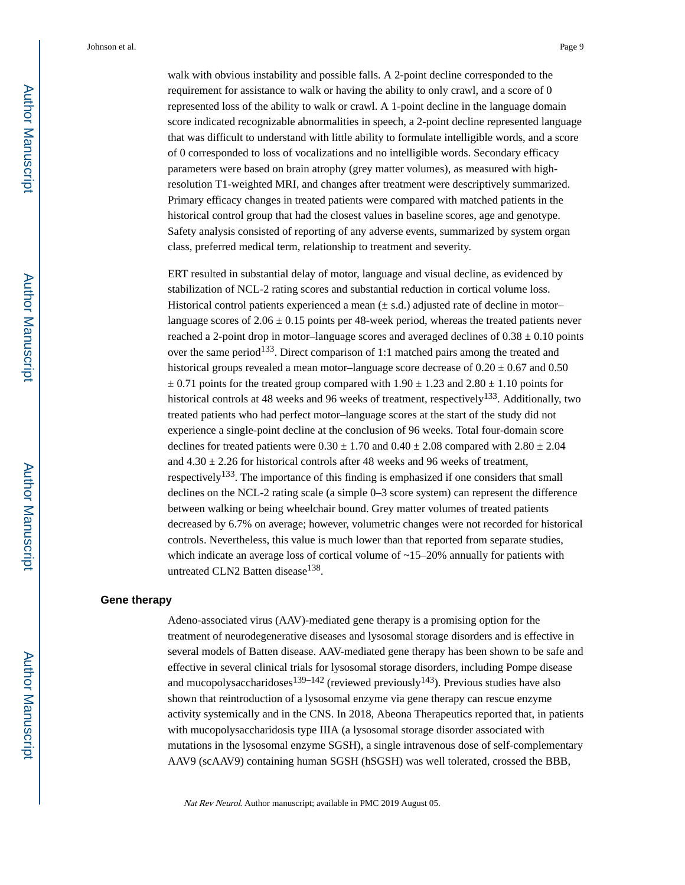walk with obvious instability and possible falls. A 2-point decline corresponded to the requirement for assistance to walk or having the ability to only crawl, and a score of 0 represented loss of the ability to walk or crawl. A 1-point decline in the language domain score indicated recognizable abnormalities in speech, a 2-point decline represented language that was difficult to understand with little ability to formulate intelligible words, and a score of 0 corresponded to loss of vocalizations and no intelligible words. Secondary efficacy parameters were based on brain atrophy (grey matter volumes), as measured with highresolution T1-weighted MRI, and changes after treatment were descriptively summarized. Primary efficacy changes in treated patients were compared with matched patients in the historical control group that had the closest values in baseline scores, age and genotype. Safety analysis consisted of reporting of any adverse events, summarized by system organ class, preferred medical term, relationship to treatment and severity.

ERT resulted in substantial delay of motor, language and visual decline, as evidenced by stabilization of NCL-2 rating scores and substantial reduction in cortical volume loss. Historical control patients experienced a mean  $(\pm s.d.)$  adjusted rate of decline in motor– language scores of  $2.06 \pm 0.15$  points per 48-week period, whereas the treated patients never reached a 2-point drop in motor–language scores and averaged declines of  $0.38 \pm 0.10$  points over the same period<sup>133</sup>. Direct comparison of 1:1 matched pairs among the treated and historical groups revealed a mean motor–language score decrease of  $0.20 \pm 0.67$  and  $0.50$  $\pm$  0.71 points for the treated group compared with 1.90  $\pm$  1.23 and 2.80  $\pm$  1.10 points for historical controls at 48 weeks and 96 weeks of treatment, respectively<sup>133</sup>. Additionally, two treated patients who had perfect motor–language scores at the start of the study did not experience a single-point decline at the conclusion of 96 weeks. Total four-domain score declines for treated patients were  $0.30 \pm 1.70$  and  $0.40 \pm 2.08$  compared with  $2.80 \pm 2.04$ and  $4.30 \pm 2.26$  for historical controls after 48 weeks and 96 weeks of treatment, respectively<sup>133</sup>. The importance of this finding is emphasized if one considers that small declines on the NCL-2 rating scale (a simple 0–3 score system) can represent the difference between walking or being wheelchair bound. Grey matter volumes of treated patients decreased by 6.7% on average; however, volumetric changes were not recorded for historical controls. Nevertheless, this value is much lower than that reported from separate studies, which indicate an average loss of cortical volume of  $\sim$ 15–20% annually for patients with untreated CLN2 Batten disease<sup>138</sup>.

#### **Gene therapy**

Adeno-associated virus (AAV)-mediated gene therapy is a promising option for the treatment of neurodegenerative diseases and lysosomal storage disorders and is effective in several models of Batten disease. AAV-mediated gene therapy has been shown to be safe and effective in several clinical trials for lysosomal storage disorders, including Pompe disease and mucopolysaccharidoses<sup>139–142</sup> (reviewed previously<sup>143</sup>). Previous studies have also shown that reintroduction of a lysosomal enzyme via gene therapy can rescue enzyme activity systemically and in the CNS. In 2018, Abeona Therapeutics reported that, in patients with mucopolysaccharidosis type IIIA (a lysosomal storage disorder associated with mutations in the lysosomal enzyme SGSH), a single intravenous dose of self-complementary AAV9 (scAAV9) containing human SGSH (hSGSH) was well tolerated, crossed the BBB,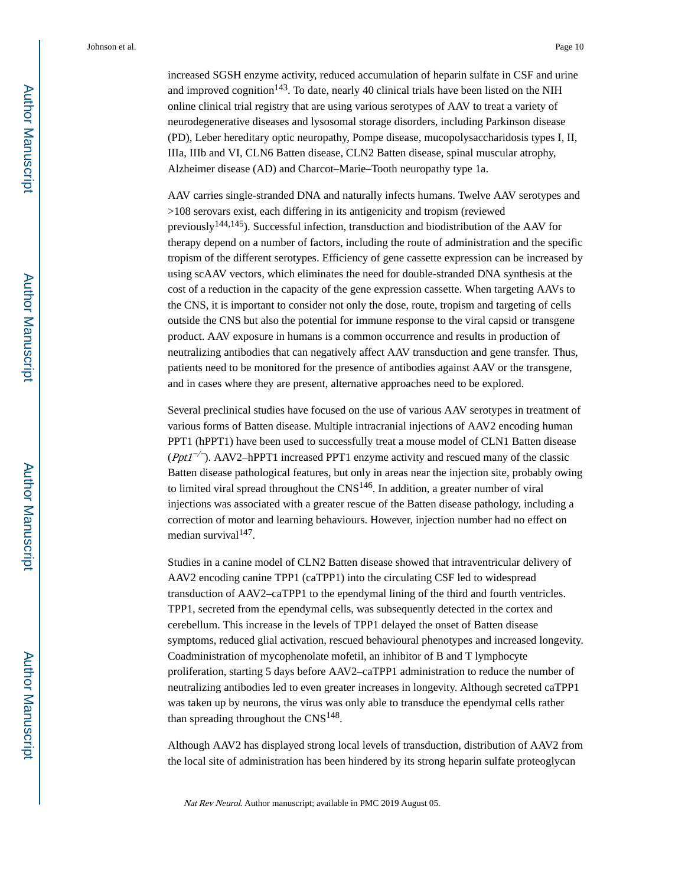increased SGSH enzyme activity, reduced accumulation of heparin sulfate in CSF and urine and improved cognition<sup>143</sup>. To date, nearly 40 clinical trials have been listed on the NIH online clinical trial registry that are using various serotypes of AAV to treat a variety of neurodegenerative diseases and lysosomal storage disorders, including Parkinson disease (PD), Leber hereditary optic neuropathy, Pompe disease, mucopolysaccharidosis types I, II, IIIa, IIIb and VI, CLN6 Batten disease, CLN2 Batten disease, spinal muscular atrophy, Alzheimer disease (AD) and Charcot–Marie–Tooth neuropathy type 1a.

AAV carries single-stranded DNA and naturally infects humans. Twelve AAV serotypes and >108 serovars exist, each differing in its antigenicity and tropism (reviewed previously $144,145$ ). Successful infection, transduction and biodistribution of the AAV for therapy depend on a number of factors, including the route of administration and the specific tropism of the different serotypes. Efficiency of gene cassette expression can be increased by using scAAV vectors, which eliminates the need for double-stranded DNA synthesis at the cost of a reduction in the capacity of the gene expression cassette. When targeting AAVs to the CNS, it is important to consider not only the dose, route, tropism and targeting of cells outside the CNS but also the potential for immune response to the viral capsid or transgene product. AAV exposure in humans is a common occurrence and results in production of neutralizing antibodies that can negatively affect AAV transduction and gene transfer. Thus, patients need to be monitored for the presence of antibodies against AAV or the transgene, and in cases where they are present, alternative approaches need to be explored.

Several preclinical studies have focused on the use of various AAV serotypes in treatment of various forms of Batten disease. Multiple intracranial injections of AAV2 encoding human PPT1 (hPPT1) have been used to successfully treat a mouse model of CLN1 Batten disease ( $Ppt1^{-/-}$ ). AAV2-hPPT1 increased PPT1 enzyme activity and rescued many of the classic Batten disease pathological features, but only in areas near the injection site, probably owing to limited viral spread throughout the  $CNS<sup>146</sup>$ . In addition, a greater number of viral injections was associated with a greater rescue of the Batten disease pathology, including a correction of motor and learning behaviours. However, injection number had no effect on median survival<sup>147</sup>.

Studies in a canine model of CLN2 Batten disease showed that intraventricular delivery of AAV2 encoding canine TPP1 (caTPP1) into the circulating CSF led to widespread transduction of AAV2–caTPP1 to the ependymal lining of the third and fourth ventricles. TPP1, secreted from the ependymal cells, was subsequently detected in the cortex and cerebellum. This increase in the levels of TPP1 delayed the onset of Batten disease symptoms, reduced glial activation, rescued behavioural phenotypes and increased longevity. Coadministration of mycophenolate mofetil, an inhibitor of B and T lymphocyte proliferation, starting 5 days before AAV2–caTPP1 administration to reduce the number of neutralizing antibodies led to even greater increases in longevity. Although secreted caTPP1 was taken up by neurons, the virus was only able to transduce the ependymal cells rather than spreading throughout the  $CNS^{148}$ .

Although AAV2 has displayed strong local levels of transduction, distribution of AAV2 from the local site of administration has been hindered by its strong heparin sulfate proteoglycan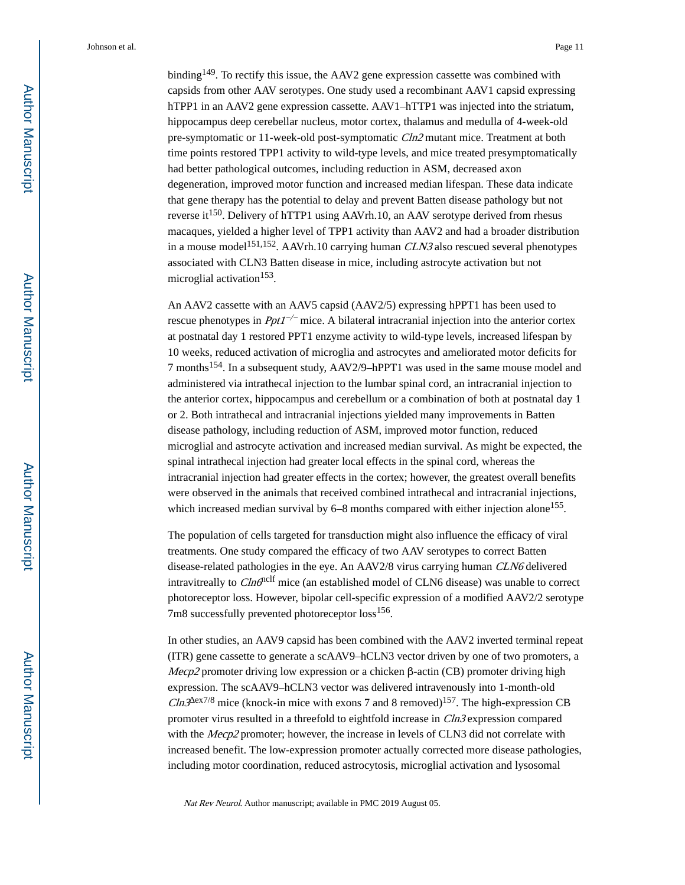binding<sup>149</sup>. To rectify this issue, the AAV2 gene expression cassette was combined with capsids from other AAV serotypes. One study used a recombinant AAV1 capsid expressing hTPP1 in an AAV2 gene expression cassette. AAV1–hTTP1 was injected into the striatum, hippocampus deep cerebellar nucleus, motor cortex, thalamus and medulla of 4-week-old pre-symptomatic or 11-week-old post-symptomatic Cln2 mutant mice. Treatment at both time points restored TPP1 activity to wild-type levels, and mice treated presymptomatically had better pathological outcomes, including reduction in ASM, decreased axon degeneration, improved motor function and increased median lifespan. These data indicate that gene therapy has the potential to delay and prevent Batten disease pathology but not reverse it<sup>150</sup>. Delivery of hTTP1 using AAVrh.10, an AAV serotype derived from rhesus macaques, yielded a higher level of TPP1 activity than AAV2 and had a broader distribution in a mouse model<sup>151,152</sup>. AAVrh.10 carrying human  $CLN3$  also rescued several phenotypes associated with CLN3 Batten disease in mice, including astrocyte activation but not microglial activation<sup>153</sup>.

An AAV2 cassette with an AAV5 capsid (AAV2/5) expressing hPPT1 has been used to rescue phenotypes in  $PptI^{-/-}$  mice. A bilateral intracranial injection into the anterior cortex at postnatal day 1 restored PPT1 enzyme activity to wild-type levels, increased lifespan by 10 weeks, reduced activation of microglia and astrocytes and ameliorated motor deficits for 7 months154. In a subsequent study, AAV2/9–hPPT1 was used in the same mouse model and administered via intrathecal injection to the lumbar spinal cord, an intracranial injection to the anterior cortex, hippocampus and cerebellum or a combination of both at postnatal day 1 or 2. Both intrathecal and intracranial injections yielded many improvements in Batten disease pathology, including reduction of ASM, improved motor function, reduced microglial and astrocyte activation and increased median survival. As might be expected, the spinal intrathecal injection had greater local effects in the spinal cord, whereas the intracranial injection had greater effects in the cortex; however, the greatest overall benefits were observed in the animals that received combined intrathecal and intracranial injections, which increased median survival by 6–8 months compared with either injection alone<sup>155</sup>.

The population of cells targeted for transduction might also influence the efficacy of viral treatments. One study compared the efficacy of two AAV serotypes to correct Batten disease-related pathologies in the eye. An AAV2/8 virus carrying human CLN6 delivered intravitreally to  $C ln \theta$ <sup>nclf</sup> mice (an established model of CLN6 disease) was unable to correct photoreceptor loss. However, bipolar cell-specific expression of a modified AAV2/2 serotype 7m8 successfully prevented photoreceptor loss<sup>156</sup>.

In other studies, an AAV9 capsid has been combined with the AAV2 inverted terminal repeat (ITR) gene cassette to generate a scAAV9–hCLN3 vector driven by one of two promoters, a Mecp2 promoter driving low expression or a chicken  $\beta$ -actin (CB) promoter driving high expression. The scAAV9–hCLN3 vector was delivered intravenously into 1-month-old *Cln3* ex7/8 mice (knock-in mice with exons 7 and 8 removed)<sup>157</sup>. The high-expression CB promoter virus resulted in a threefold to eightfold increase in Cln3 expression compared with the Mecp2 promoter; however, the increase in levels of CLN3 did not correlate with increased benefit. The low-expression promoter actually corrected more disease pathologies, including motor coordination, reduced astrocytosis, microglial activation and lysosomal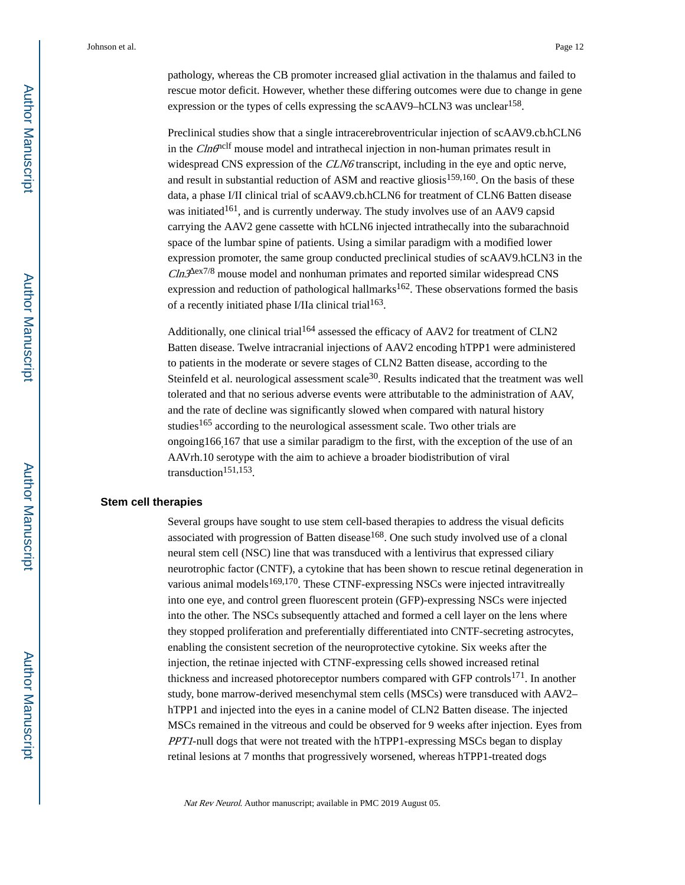pathology, whereas the CB promoter increased glial activation in the thalamus and failed to rescue motor deficit. However, whether these differing outcomes were due to change in gene expression or the types of cells expressing the scAAV9–hCLN3 was unclear<sup>158</sup>.

Preclinical studies show that a single intracerebroventricular injection of scAAV9.cb.hCLN6 in the  $C In \mathcal{O}^{\text{nclf}}$  mouse model and intrathecal injection in non-human primates result in widespread CNS expression of the *CLN6* transcript, including in the eye and optic nerve, and result in substantial reduction of ASM and reactive gliosis<sup>159,160</sup>. On the basis of these data, a phase I/II clinical trial of scAAV9.cb.hCLN6 for treatment of CLN6 Batten disease was initiated<sup>161</sup>, and is currently underway. The study involves use of an AAV9 capsid carrying the AAV2 gene cassette with hCLN6 injected intrathecally into the subarachnoid space of the lumbar spine of patients. Using a similar paradigm with a modified lower expression promoter, the same group conducted preclinical studies of scAAV9.hCLN3 in the  $Cln3$  ex7/8 mouse model and nonhuman primates and reported similar widespread CNS expression and reduction of pathological hallmarks<sup>162</sup>. These observations formed the basis of a recently initiated phase I/IIa clinical trial<sup>163</sup>.

Additionally, one clinical trial<sup>164</sup> assessed the efficacy of AAV2 for treatment of CLN2 Batten disease. Twelve intracranial injections of AAV2 encoding hTPP1 were administered to patients in the moderate or severe stages of CLN2 Batten disease, according to the Steinfeld et al. neurological assessment scale $30$ . Results indicated that the treatment was well tolerated and that no serious adverse events were attributable to the administration of AAV, and the rate of decline was significantly slowed when compared with natural history studies<sup>165</sup> according to the neurological assessment scale. Two other trials are ongoing166,167 that use a similar paradigm to the first, with the exception of the use of an AAVrh.10 serotype with the aim to achieve a broader biodistribution of viral transduction<sup>151,153</sup>.

#### **Stem cell therapies**

Several groups have sought to use stem cell-based therapies to address the visual deficits associated with progression of Batten disease<sup>168</sup>. One such study involved use of a clonal neural stem cell (NSC) line that was transduced with a lentivirus that expressed ciliary neurotrophic factor (CNTF), a cytokine that has been shown to rescue retinal degeneration in various animal models $169,170$ . These CTNF-expressing NSCs were injected intravitreally into one eye, and control green fluorescent protein (GFP)-expressing NSCs were injected into the other. The NSCs subsequently attached and formed a cell layer on the lens where they stopped proliferation and preferentially differentiated into CNTF-secreting astrocytes, enabling the consistent secretion of the neuroprotective cytokine. Six weeks after the injection, the retinae injected with CTNF-expressing cells showed increased retinal thickness and increased photoreceptor numbers compared with GFP controls<sup>171</sup>. In another study, bone marrow-derived mesenchymal stem cells (MSCs) were transduced with AAV2– hTPP1 and injected into the eyes in a canine model of CLN2 Batten disease. The injected MSCs remained in the vitreous and could be observed for 9 weeks after injection. Eyes from PPT1-null dogs that were not treated with the hTPP1-expressing MSCs began to display retinal lesions at 7 months that progressively worsened, whereas hTPP1-treated dogs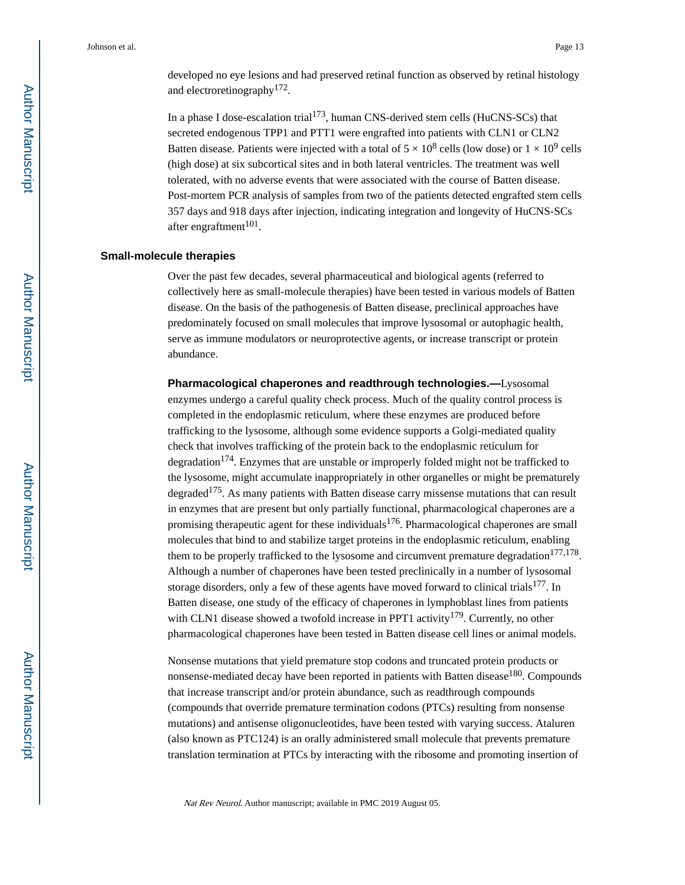developed no eye lesions and had preserved retinal function as observed by retinal histology and electroretinography<sup>172</sup>.

In a phase I dose-escalation trial<sup>173</sup>, human CNS-derived stem cells (HuCNS-SCs) that secreted endogenous TPP1 and PTT1 were engrafted into patients with CLN1 or CLN2 Batten disease. Patients were injected with a total of  $5 \times 10^8$  cells (low dose) or  $1 \times 10^9$  cells (high dose) at six subcortical sites and in both lateral ventricles. The treatment was well tolerated, with no adverse events that were associated with the course of Batten disease. Post-mortem PCR analysis of samples from two of the patients detected engrafted stem cells 357 days and 918 days after injection, indicating integration and longevity of HuCNS-SCs after engraftment<sup>101</sup>.

#### **Small-molecule therapies**

Over the past few decades, several pharmaceutical and biological agents (referred to collectively here as small-molecule therapies) have been tested in various models of Batten disease. On the basis of the pathogenesis of Batten disease, preclinical approaches have predominately focused on small molecules that improve lysosomal or autophagic health, serve as immune modulators or neuroprotective agents, or increase transcript or protein abundance.

**Pharmacological chaperones and readthrough technologies.—**Lysosomal enzymes undergo a careful quality check process. Much of the quality control process is completed in the endoplasmic reticulum, where these enzymes are produced before trafficking to the lysosome, although some evidence supports a Golgi-mediated quality check that involves trafficking of the protein back to the endoplasmic reticulum for degradation $174$ . Enzymes that are unstable or improperly folded might not be trafficked to the lysosome, might accumulate inappropriately in other organelles or might be prematurely degraded<sup>175</sup>. As many patients with Batten disease carry missense mutations that can result in enzymes that are present but only partially functional, pharmacological chaperones are a promising therapeutic agent for these individuals<sup>176</sup>. Pharmacological chaperones are small molecules that bind to and stabilize target proteins in the endoplasmic reticulum, enabling them to be properly trafficked to the lysosome and circumvent premature degradation<sup>177,178</sup>. Although a number of chaperones have been tested preclinically in a number of lysosomal storage disorders, only a few of these agents have moved forward to clinical trials $177$ . In Batten disease, one study of the efficacy of chaperones in lymphoblast lines from patients with CLN1 disease showed a twofold increase in PPT1 activity<sup>179</sup>. Currently, no other pharmacological chaperones have been tested in Batten disease cell lines or animal models.

Nonsense mutations that yield premature stop codons and truncated protein products or nonsense-mediated decay have been reported in patients with Batten disease<sup>180</sup>. Compounds that increase transcript and/or protein abundance, such as readthrough compounds (compounds that override premature termination codons (PTCs) resulting from nonsense mutations) and antisense oligonucleotides, have been tested with varying success. Ataluren (also known as PTC124) is an orally administered small molecule that prevents premature translation termination at PTCs by interacting with the ribosome and promoting insertion of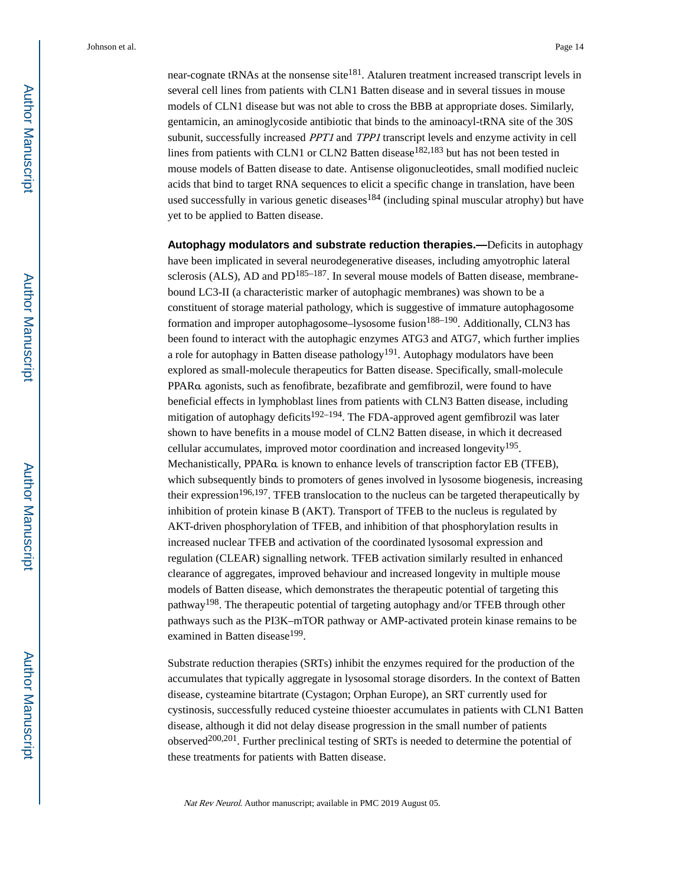near-cognate tRNAs at the nonsense site<sup>181</sup>. Ataluren treatment increased transcript levels in several cell lines from patients with CLN1 Batten disease and in several tissues in mouse models of CLN1 disease but was not able to cross the BBB at appropriate doses. Similarly, gentamicin, an aminoglycoside antibiotic that binds to the aminoacyl-tRNA site of the 30S subunit, successfully increased *PPT1* and *TPP1* transcript levels and enzyme activity in cell lines from patients with CLN1 or CLN2 Batten disease<sup>182,183</sup> but has not been tested in mouse models of Batten disease to date. Antisense oligonucleotides, small modified nucleic acids that bind to target RNA sequences to elicit a specific change in translation, have been used successfully in various genetic diseases<sup>184</sup> (including spinal muscular atrophy) but have yet to be applied to Batten disease.

**Autophagy modulators and substrate reduction therapies.—**Deficits in autophagy have been implicated in several neurodegenerative diseases, including amyotrophic lateral sclerosis (ALS), AD and  $PD^{185-187}$ . In several mouse models of Batten disease, membranebound LC3-II (a characteristic marker of autophagic membranes) was shown to be a constituent of storage material pathology, which is suggestive of immature autophagosome formation and improper autophagosome–lysosome fusion<sup>188–190</sup>. Additionally, CLN3 has been found to interact with the autophagic enzymes ATG3 and ATG7, which further implies a role for autophagy in Batten disease pathology<sup>191</sup>. Autophagy modulators have been explored as small-molecule therapeutics for Batten disease. Specifically, small-molecule PPARα agonists, such as fenofibrate, bezafibrate and gemfibrozil, were found to have beneficial effects in lymphoblast lines from patients with CLN3 Batten disease, including mitigation of autophagy deficits<sup>192-194</sup>. The FDA-approved agent gemfibrozil was later shown to have benefits in a mouse model of CLN2 Batten disease, in which it decreased cellular accumulates, improved motor coordination and increased longevity<sup>195</sup>. Mechanistically, PPARα is known to enhance levels of transcription factor EB (TFEB), which subsequently binds to promoters of genes involved in lysosome biogenesis, increasing their expression<sup>196,197</sup>. TFEB translocation to the nucleus can be targeted therapeutically by inhibition of protein kinase B (AKT). Transport of TFEB to the nucleus is regulated by AKT-driven phosphorylation of TFEB, and inhibition of that phosphorylation results in increased nuclear TFEB and activation of the coordinated lysosomal expression and regulation (CLEAR) signalling network. TFEB activation similarly resulted in enhanced clearance of aggregates, improved behaviour and increased longevity in multiple mouse models of Batten disease, which demonstrates the therapeutic potential of targeting this pathway198. The therapeutic potential of targeting autophagy and/or TFEB through other pathways such as the PI3K–mTOR pathway or AMP-activated protein kinase remains to be examined in Batten disease<sup>199</sup>.

Substrate reduction therapies (SRTs) inhibit the enzymes required for the production of the accumulates that typically aggregate in lysosomal storage disorders. In the context of Batten disease, cysteamine bitartrate (Cystagon; Orphan Europe), an SRT currently used for cystinosis, successfully reduced cysteine thioester accumulates in patients with CLN1 Batten disease, although it did not delay disease progression in the small number of patients observed<sup>200,201</sup>. Further preclinical testing of SRTs is needed to determine the potential of these treatments for patients with Batten disease.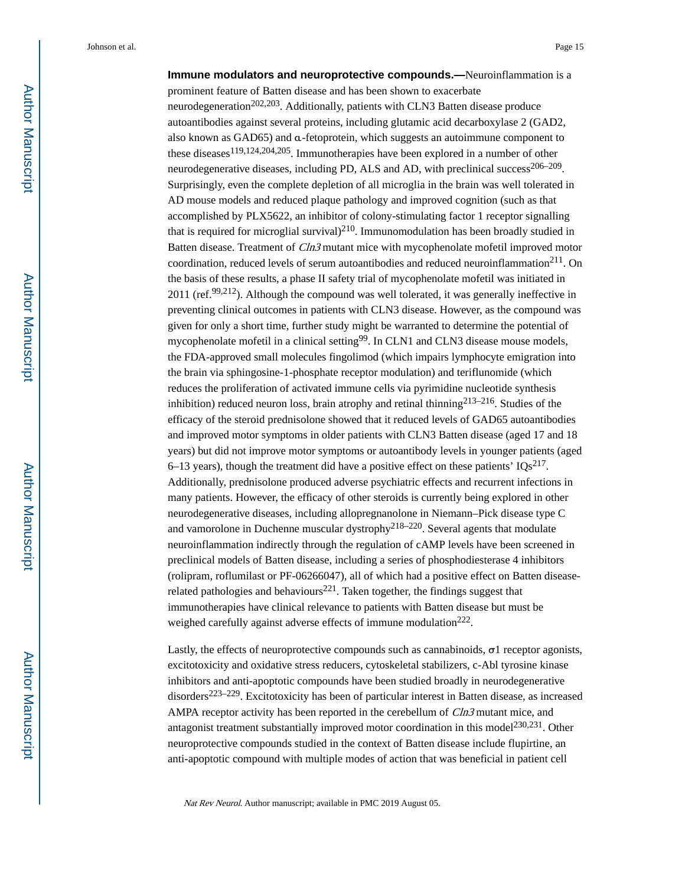**Immune modulators and neuroprotective compounds.—**Neuroinflammation is a prominent feature of Batten disease and has been shown to exacerbate neurodegeneration<sup>202,203</sup>. Additionally, patients with CLN3 Batten disease produce autoantibodies against several proteins, including glutamic acid decarboxylase 2 (GAD2, also known as GAD65) and α-fetoprotein, which suggests an autoimmune component to these diseases<sup>119,124,204,205</sup>. Immunotherapies have been explored in a number of other neurodegenerative diseases, including PD, ALS and AD, with preclinical success<sup>206–209</sup>. Surprisingly, even the complete depletion of all microglia in the brain was well tolerated in AD mouse models and reduced plaque pathology and improved cognition (such as that accomplished by PLX5622, an inhibitor of colony-stimulating factor 1 receptor signalling that is required for microglial survival $)^{210}$ . Immunomodulation has been broadly studied in Batten disease. Treatment of  $Cln3$  mutant mice with mycophenolate mofetil improved motor coordination, reduced levels of serum autoantibodies and reduced neuroinflammation<sup>211</sup>. On the basis of these results, a phase II safety trial of mycophenolate mofetil was initiated in 2011 (ref.<sup>99,212</sup>). Although the compound was well tolerated, it was generally ineffective in preventing clinical outcomes in patients with CLN3 disease. However, as the compound was given for only a short time, further study might be warranted to determine the potential of mycophenolate mofetil in a clinical setting<sup>99</sup>. In CLN1 and CLN3 disease mouse models, the FDA-approved small molecules fingolimod (which impairs lymphocyte emigration into the brain via sphingosine-1-phosphate receptor modulation) and teriflunomide (which reduces the proliferation of activated immune cells via pyrimidine nucleotide synthesis inhibition) reduced neuron loss, brain atrophy and retinal thinning<sup>213–216</sup>. Studies of the efficacy of the steroid prednisolone showed that it reduced levels of GAD65 autoantibodies and improved motor symptoms in older patients with CLN3 Batten disease (aged 17 and 18 years) but did not improve motor symptoms or autoantibody levels in younger patients (aged 6–13 years), though the treatment did have a positive effect on these patients'  $IQs^{217}$ . Additionally, prednisolone produced adverse psychiatric effects and recurrent infections in many patients. However, the efficacy of other steroids is currently being explored in other neurodegenerative diseases, including allopregnanolone in Niemann–Pick disease type C and vamorolone in Duchenne muscular dystrophy<sup>218–220</sup>. Several agents that modulate neuroinflammation indirectly through the regulation of cAMP levels have been screened in preclinical models of Batten disease, including a series of phosphodiesterase 4 inhibitors (rolipram, roflumilast or PF-06266047), all of which had a positive effect on Batten diseaserelated pathologies and behaviours<sup>221</sup>. Taken together, the findings suggest that immunotherapies have clinical relevance to patients with Batten disease but must be weighed carefully against adverse effects of immune modulation<sup>222</sup>.

Lastly, the effects of neuroprotective compounds such as cannabinoids,  $\sigma$ 1 receptor agonists, excitotoxicity and oxidative stress reducers, cytoskeletal stabilizers, c-Abl tyrosine kinase inhibitors and anti-apoptotic compounds have been studied broadly in neurodegenerative disorders223–229. Excitotoxicity has been of particular interest in Batten disease, as increased AMPA receptor activity has been reported in the cerebellum of Cln3 mutant mice, and antagonist treatment substantially improved motor coordination in this model<sup>230,231</sup>. Other neuroprotective compounds studied in the context of Batten disease include flupirtine, an anti-apoptotic compound with multiple modes of action that was beneficial in patient cell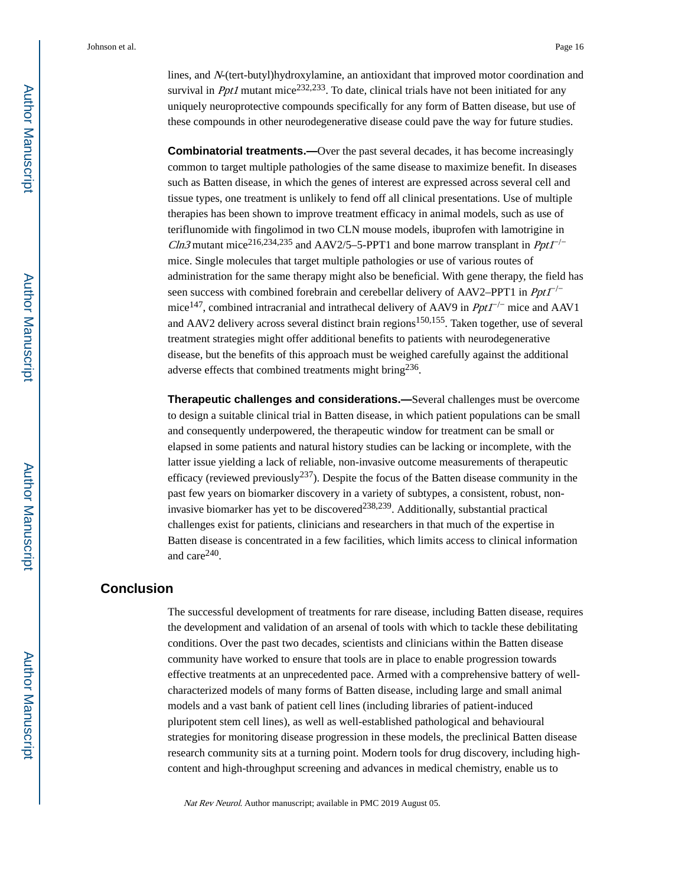lines, and N-(tert-butyl)hydroxylamine, an antioxidant that improved motor coordination and survival in *Ppt1* mutant mice<sup>232,233</sup>. To date, clinical trials have not been initiated for any uniquely neuroprotective compounds specifically for any form of Batten disease, but use of these compounds in other neurodegenerative disease could pave the way for future studies.

**Combinatorial treatments.—Over the past several decades, it has become increasingly** common to target multiple pathologies of the same disease to maximize benefit. In diseases such as Batten disease, in which the genes of interest are expressed across several cell and tissue types, one treatment is unlikely to fend off all clinical presentations. Use of multiple therapies has been shown to improve treatment efficacy in animal models, such as use of teriflunomide with fingolimod in two CLN mouse models, ibuprofen with lamotrigine in Cln3 mutant mice<sup>216,234,235</sup> and AAV2/5–5-PPT1 and bone marrow transplant in Ppt1<sup>-/-</sup> mice. Single molecules that target multiple pathologies or use of various routes of administration for the same therapy might also be beneficial. With gene therapy, the field has seen success with combined forebrain and cerebellar delivery of AAV2–PPT1 in  $PptI^{-/-}$ mice<sup>147</sup>, combined intracranial and intrathecal delivery of AAV9 in  $PptI^{-/-}$  mice and AAV1 and AAV2 delivery across several distinct brain regions<sup>150,155</sup>. Taken together, use of several treatment strategies might offer additional benefits to patients with neurodegenerative disease, but the benefits of this approach must be weighed carefully against the additional adverse effects that combined treatments might bring<sup>236</sup>.

**Therapeutic challenges and considerations.—**Several challenges must be overcome to design a suitable clinical trial in Batten disease, in which patient populations can be small and consequently underpowered, the therapeutic window for treatment can be small or elapsed in some patients and natural history studies can be lacking or incomplete, with the latter issue yielding a lack of reliable, non-invasive outcome measurements of therapeutic efficacy (reviewed previously<sup>237</sup>). Despite the focus of the Batten disease community in the past few years on biomarker discovery in a variety of subtypes, a consistent, robust, noninvasive biomarker has yet to be discovered<sup>238,239</sup>. Additionally, substantial practical challenges exist for patients, clinicians and researchers in that much of the expertise in Batten disease is concentrated in a few facilities, which limits access to clinical information and care<sup>240</sup>.

#### **Conclusion**

The successful development of treatments for rare disease, including Batten disease, requires the development and validation of an arsenal of tools with which to tackle these debilitating conditions. Over the past two decades, scientists and clinicians within the Batten disease community have worked to ensure that tools are in place to enable progression towards effective treatments at an unprecedented pace. Armed with a comprehensive battery of wellcharacterized models of many forms of Batten disease, including large and small animal models and a vast bank of patient cell lines (including libraries of patient-induced pluripotent stem cell lines), as well as well-established pathological and behavioural strategies for monitoring disease progression in these models, the preclinical Batten disease research community sits at a turning point. Modern tools for drug discovery, including highcontent and high-throughput screening and advances in medical chemistry, enable us to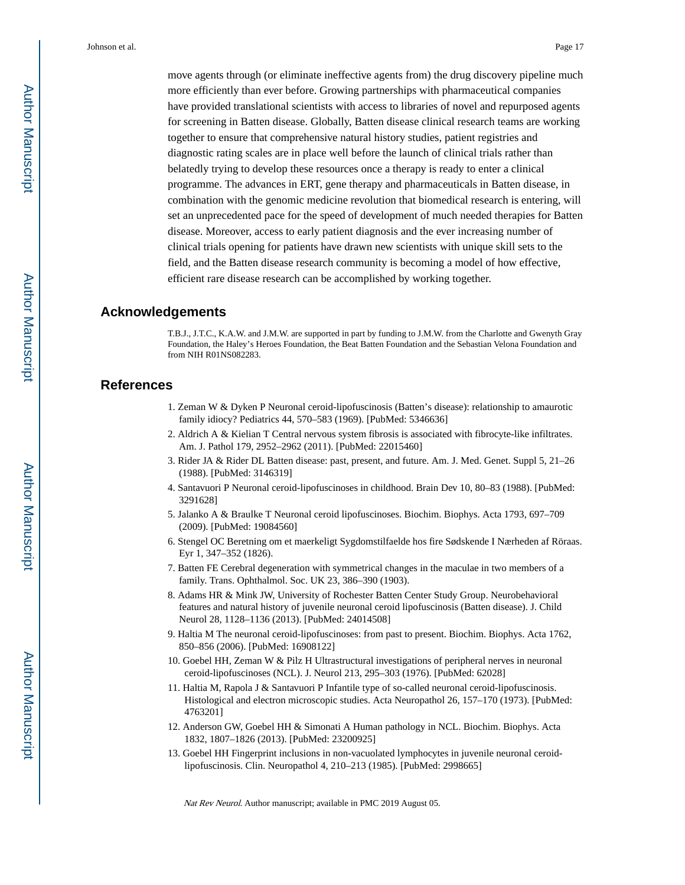move agents through (or eliminate ineffective agents from) the drug discovery pipeline much more efficiently than ever before. Growing partnerships with pharmaceutical companies have provided translational scientists with access to libraries of novel and repurposed agents for screening in Batten disease. Globally, Batten disease clinical research teams are working together to ensure that comprehensive natural history studies, patient registries and diagnostic rating scales are in place well before the launch of clinical trials rather than belatedly trying to develop these resources once a therapy is ready to enter a clinical programme. The advances in ERT, gene therapy and pharmaceuticals in Batten disease, in combination with the genomic medicine revolution that biomedical research is entering, will set an unprecedented pace for the speed of development of much needed therapies for Batten disease. Moreover, access to early patient diagnosis and the ever increasing number of clinical trials opening for patients have drawn new scientists with unique skill sets to the field, and the Batten disease research community is becoming a model of how effective, efficient rare disease research can be accomplished by working together.

#### **Acknowledgements**

T.B.J., J.T.C., K.A.W. and J.M.W. are supported in part by funding to J.M.W. from the Charlotte and Gwenyth Gray Foundation, the Haley's Heroes Foundation, the Beat Batten Foundation and the Sebastian Velona Foundation and from NIH R01NS082283.

#### **References**

- 1. Zeman W & Dyken P Neuronal ceroid-lipofuscinosis (Batten's disease): relationship to amaurotic family idiocy? Pediatrics 44, 570–583 (1969). [PubMed: 5346636]
- 2. Aldrich A & Kielian T Central nervous system fibrosis is associated with fibrocyte-like infiltrates. Am. J. Pathol 179, 2952–2962 (2011). [PubMed: 22015460]
- 3. Rider JA & Rider DL Batten disease: past, present, and future. Am. J. Med. Genet. Suppl 5, 21–26 (1988). [PubMed: 3146319]
- 4. Santavuori P Neuronal ceroid-lipofuscinoses in childhood. Brain Dev 10, 80–83 (1988). [PubMed: 3291628]
- 5. Jalanko A & Braulke T Neuronal ceroid lipofuscinoses. Biochim. Biophys. Acta 1793, 697–709 (2009). [PubMed: 19084560]
- 6. Stengel OC Beretning om et maerkeligt Sygdomstilfaelde hos fire Sødskende I Nærheden af Röraas. Eyr 1, 347–352 (1826).
- 7. Batten FE Cerebral degeneration with symmetrical changes in the maculae in two members of a family. Trans. Ophthalmol. Soc. UK 23, 386–390 (1903).
- 8. Adams HR & Mink JW, University of Rochester Batten Center Study Group. Neurobehavioral features and natural history of juvenile neuronal ceroid lipofuscinosis (Batten disease). J. Child Neurol 28, 1128–1136 (2013). [PubMed: 24014508]
- 9. Haltia M The neuronal ceroid-lipofuscinoses: from past to present. Biochim. Biophys. Acta 1762, 850–856 (2006). [PubMed: 16908122]
- 10. Goebel HH, Zeman W & Pilz H Ultrastructural investigations of peripheral nerves in neuronal ceroid-lipofuscinoses (NCL). J. Neurol 213, 295–303 (1976). [PubMed: 62028]
- 11. Haltia M, Rapola J & Santavuori P Infantile type of so-called neuronal ceroid-lipofuscinosis. Histological and electron microscopic studies. Acta Neuropathol 26, 157–170 (1973). [PubMed: 4763201]
- 12. Anderson GW, Goebel HH & Simonati A Human pathology in NCL. Biochim. Biophys. Acta 1832, 1807–1826 (2013). [PubMed: 23200925]
- 13. Goebel HH Fingerprint inclusions in non-vacuolated lymphocytes in juvenile neuronal ceroidlipofuscinosis. Clin. Neuropathol 4, 210–213 (1985). [PubMed: 2998665]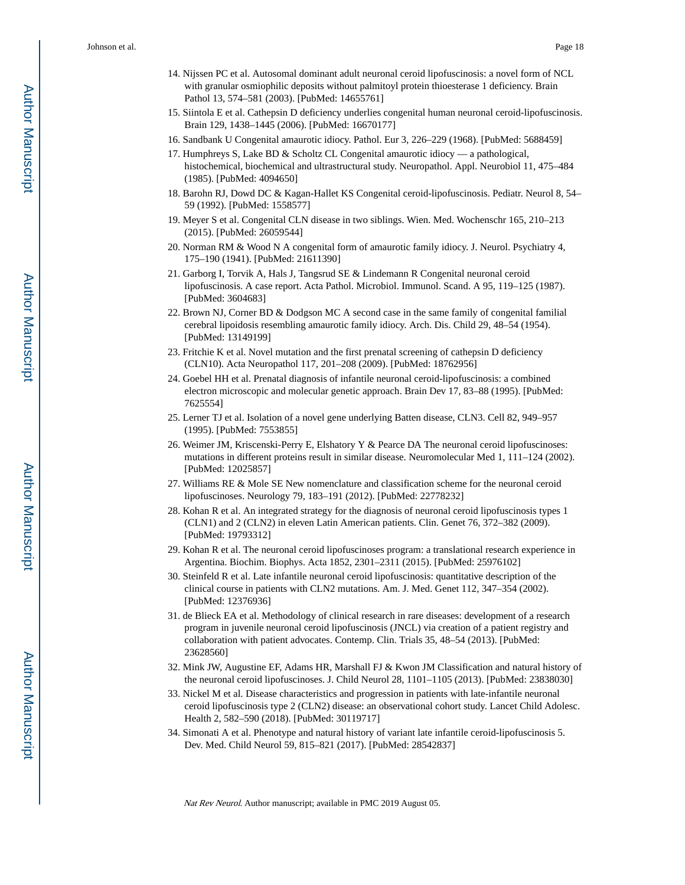- 14. Nijssen PC et al. Autosomal dominant adult neuronal ceroid lipofuscinosis: a novel form of NCL with granular osmiophilic deposits without palmitoyl protein thioesterase 1 deficiency. Brain Pathol 13, 574–581 (2003). [PubMed: 14655761]
- 15. Siintola E et al. Cathepsin D deficiency underlies congenital human neuronal ceroid-lipofuscinosis. Brain 129, 1438–1445 (2006). [PubMed: 16670177]
- 16. Sandbank U Congenital amaurotic idiocy. Pathol. Eur 3, 226–229 (1968). [PubMed: 5688459]
- 17. Humphreys S, Lake BD & Scholtz CL Congenital amaurotic idiocy a pathological, histochemical, biochemical and ultrastructural study. Neuropathol. Appl. Neurobiol 11, 475–484 (1985). [PubMed: 4094650]
- 18. Barohn RJ, Dowd DC & Kagan-Hallet KS Congenital ceroid-lipofuscinosis. Pediatr. Neurol 8, 54– 59 (1992). [PubMed: 1558577]
- 19. Meyer S et al. Congenital CLN disease in two siblings. Wien. Med. Wochenschr 165, 210–213 (2015). [PubMed: 26059544]
- 20. Norman RM & Wood N A congenital form of amaurotic family idiocy. J. Neurol. Psychiatry 4, 175–190 (1941). [PubMed: 21611390]
- 21. Garborg I, Torvik A, Hals J, Tangsrud SE & Lindemann R Congenital neuronal ceroid lipofuscinosis. A case report. Acta Pathol. Microbiol. Immunol. Scand. A 95, 119–125 (1987). [PubMed: 3604683]
- 22. Brown NJ, Corner BD & Dodgson MC A second case in the same family of congenital familial cerebral lipoidosis resembling amaurotic family idiocy. Arch. Dis. Child 29, 48–54 (1954). [PubMed: 13149199]
- 23. Fritchie K et al. Novel mutation and the first prenatal screening of cathepsin D deficiency (CLN10). Acta Neuropathol 117, 201–208 (2009). [PubMed: 18762956]
- 24. Goebel HH et al. Prenatal diagnosis of infantile neuronal ceroid-lipofuscinosis: a combined electron microscopic and molecular genetic approach. Brain Dev 17, 83–88 (1995). [PubMed: 7625554]
- 25. Lerner TJ et al. Isolation of a novel gene underlying Batten disease, CLN3. Cell 82, 949–957 (1995). [PubMed: 7553855]
- 26. Weimer JM, Kriscenski-Perry E, Elshatory Y & Pearce DA The neuronal ceroid lipofuscinoses: mutations in different proteins result in similar disease. Neuromolecular Med 1, 111–124 (2002). [PubMed: 12025857]
- 27. Williams RE & Mole SE New nomenclature and classification scheme for the neuronal ceroid lipofuscinoses. Neurology 79, 183–191 (2012). [PubMed: 22778232]
- 28. Kohan R et al. An integrated strategy for the diagnosis of neuronal ceroid lipofuscinosis types 1 (CLN1) and 2 (CLN2) in eleven Latin American patients. Clin. Genet 76, 372–382 (2009). [PubMed: 19793312]
- 29. Kohan R et al. The neuronal ceroid lipofuscinoses program: a translational research experience in Argentina. Biochim. Biophys. Acta 1852, 2301–2311 (2015). [PubMed: 25976102]
- 30. Steinfeld R et al. Late infantile neuronal ceroid lipofuscinosis: quantitative description of the clinical course in patients with CLN2 mutations. Am. J. Med. Genet 112, 347–354 (2002). [PubMed: 12376936]
- 31. de Blieck EA et al. Methodology of clinical research in rare diseases: development of a research program in juvenile neuronal ceroid lipofuscinosis (JNCL) via creation of a patient registry and collaboration with patient advocates. Contemp. Clin. Trials 35, 48–54 (2013). [PubMed: 23628560]
- 32. Mink JW, Augustine EF, Adams HR, Marshall FJ & Kwon JM Classification and natural history of the neuronal ceroid lipofuscinoses. J. Child Neurol 28, 1101–1105 (2013). [PubMed: 23838030]
- 33. Nickel M et al. Disease characteristics and progression in patients with late-infantile neuronal ceroid lipofuscinosis type 2 (CLN2) disease: an observational cohort study. Lancet Child Adolesc. Health 2, 582–590 (2018). [PubMed: 30119717]
- 34. Simonati A et al. Phenotype and natural history of variant late infantile ceroid-lipofuscinosis 5. Dev. Med. Child Neurol 59, 815–821 (2017). [PubMed: 28542837]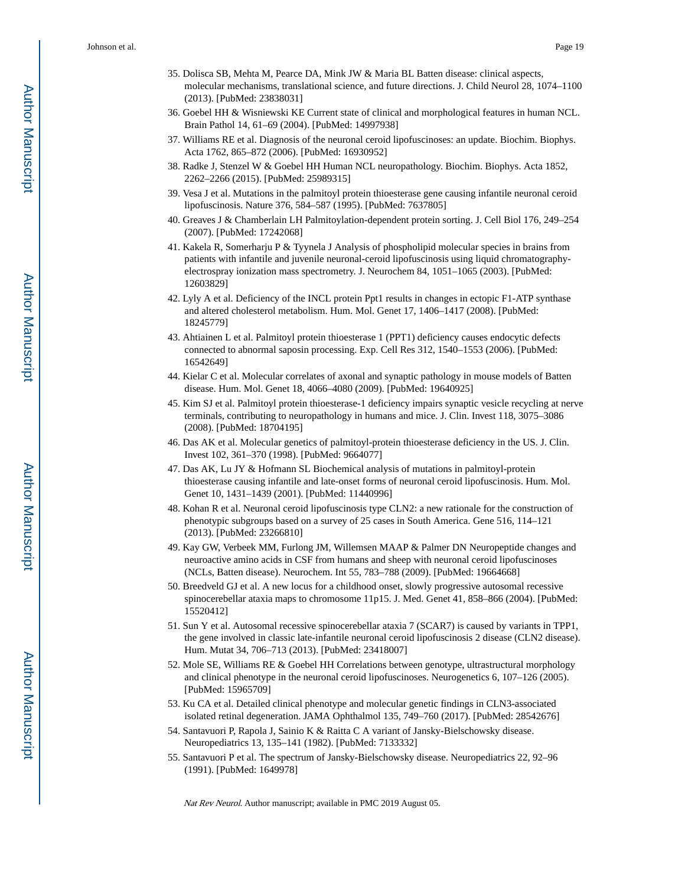- 35. Dolisca SB, Mehta M, Pearce DA, Mink JW & Maria BL Batten disease: clinical aspects, molecular mechanisms, translational science, and future directions. J. Child Neurol 28, 1074–1100 (2013). [PubMed: 23838031]
- 36. Goebel HH & Wisniewski KE Current state of clinical and morphological features in human NCL. Brain Pathol 14, 61–69 (2004). [PubMed: 14997938]
- 37. Williams RE et al. Diagnosis of the neuronal ceroid lipofuscinoses: an update. Biochim. Biophys. Acta 1762, 865–872 (2006). [PubMed: 16930952]
- 38. Radke J, Stenzel W & Goebel HH Human NCL neuropathology. Biochim. Biophys. Acta 1852, 2262–2266 (2015). [PubMed: 25989315]
- 39. Vesa J et al. Mutations in the palmitoyl protein thioesterase gene causing infantile neuronal ceroid lipofuscinosis. Nature 376, 584–587 (1995). [PubMed: 7637805]
- 40. Greaves J & Chamberlain LH Palmitoylation-dependent protein sorting. J. Cell Biol 176, 249–254 (2007). [PubMed: 17242068]
- 41. Kakela R, Somerharju P & Tyynela J Analysis of phospholipid molecular species in brains from patients with infantile and juvenile neuronal-ceroid lipofuscinosis using liquid chromatographyelectrospray ionization mass spectrometry. J. Neurochem 84, 1051–1065 (2003). [PubMed: 12603829]
- 42. Lyly A et al. Deficiency of the INCL protein Ppt1 results in changes in ectopic F1-ATP synthase and altered cholesterol metabolism. Hum. Mol. Genet 17, 1406–1417 (2008). [PubMed: 18245779]
- 43. Ahtiainen L et al. Palmitoyl protein thioesterase 1 (PPT1) deficiency causes endocytic defects connected to abnormal saposin processing. Exp. Cell Res 312, 1540–1553 (2006). [PubMed: 16542649]
- 44. Kielar C et al. Molecular correlates of axonal and synaptic pathology in mouse models of Batten disease. Hum. Mol. Genet 18, 4066–4080 (2009). [PubMed: 19640925]
- 45. Kim SJ et al. Palmitoyl protein thioesterase-1 deficiency impairs synaptic vesicle recycling at nerve terminals, contributing to neuropathology in humans and mice. J. Clin. Invest 118, 3075–3086 (2008). [PubMed: 18704195]
- 46. Das AK et al. Molecular genetics of palmitoyl-protein thioesterase deficiency in the US. J. Clin. Invest 102, 361–370 (1998). [PubMed: 9664077]
- 47. Das AK, Lu JY & Hofmann SL Biochemical analysis of mutations in palmitoyl-protein thioesterase causing infantile and late-onset forms of neuronal ceroid lipofuscinosis. Hum. Mol. Genet 10, 1431–1439 (2001). [PubMed: 11440996]
- 48. Kohan R et al. Neuronal ceroid lipofuscinosis type CLN2: a new rationale for the construction of phenotypic subgroups based on a survey of 25 cases in South America. Gene 516, 114–121 (2013). [PubMed: 23266810]
- 49. Kay GW, Verbeek MM, Furlong JM, Willemsen MAAP & Palmer DN Neuropeptide changes and neuroactive amino acids in CSF from humans and sheep with neuronal ceroid lipofuscinoses (NCLs, Batten disease). Neurochem. Int 55, 783–788 (2009). [PubMed: 19664668]
- 50. Breedveld GJ et al. A new locus for a childhood onset, slowly progressive autosomal recessive spinocerebellar ataxia maps to chromosome 11p15. J. Med. Genet 41, 858–866 (2004). [PubMed: 15520412]
- 51. Sun Y et al. Autosomal recessive spinocerebellar ataxia 7 (SCAR7) is caused by variants in TPP1, the gene involved in classic late-infantile neuronal ceroid lipofuscinosis 2 disease (CLN2 disease). Hum. Mutat 34, 706–713 (2013). [PubMed: 23418007]
- 52. Mole SE, Williams RE & Goebel HH Correlations between genotype, ultrastructural morphology and clinical phenotype in the neuronal ceroid lipofuscinoses. Neurogenetics 6, 107–126 (2005). [PubMed: 15965709]
- 53. Ku CA et al. Detailed clinical phenotype and molecular genetic findings in CLN3-associated isolated retinal degeneration. JAMA Ophthalmol 135, 749–760 (2017). [PubMed: 28542676]
- 54. Santavuori P, Rapola J, Sainio K & Raitta C A variant of Jansky-Bielschowsky disease. Neuropediatrics 13, 135–141 (1982). [PubMed: 7133332]
- 55. Santavuori P et al. The spectrum of Jansky-Bielschowsky disease. Neuropediatrics 22, 92–96 (1991). [PubMed: 1649978]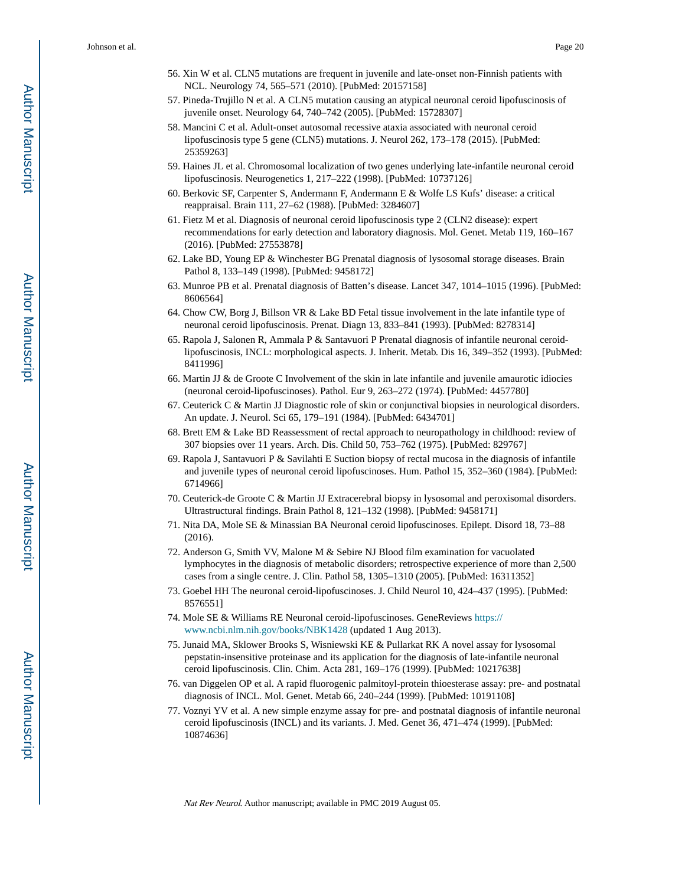- 56. Xin W et al. CLN5 mutations are frequent in juvenile and late-onset non-Finnish patients with NCL. Neurology 74, 565–571 (2010). [PubMed: 20157158]
- 57. Pineda-Trujillo N et al. A CLN5 mutation causing an atypical neuronal ceroid lipofuscinosis of juvenile onset. Neurology 64, 740–742 (2005). [PubMed: 15728307]
- 58. Mancini C et al. Adult-onset autosomal recessive ataxia associated with neuronal ceroid lipofuscinosis type 5 gene (CLN5) mutations. J. Neurol 262, 173–178 (2015). [PubMed: 25359263]
- 59. Haines JL et al. Chromosomal localization of two genes underlying late-infantile neuronal ceroid lipofuscinosis. Neurogenetics 1, 217–222 (1998). [PubMed: 10737126]
- 60. Berkovic SF, Carpenter S, Andermann F, Andermann E & Wolfe LS Kufs' disease: a critical reappraisal. Brain 111, 27–62 (1988). [PubMed: 3284607]
- 61. Fietz M et al. Diagnosis of neuronal ceroid lipofuscinosis type 2 (CLN2 disease): expert recommendations for early detection and laboratory diagnosis. Mol. Genet. Metab 119, 160–167 (2016). [PubMed: 27553878]
- 62. Lake BD, Young EP & Winchester BG Prenatal diagnosis of lysosomal storage diseases. Brain Pathol 8, 133–149 (1998). [PubMed: 9458172]
- 63. Munroe PB et al. Prenatal diagnosis of Batten's disease. Lancet 347, 1014–1015 (1996). [PubMed: 8606564]
- 64. Chow CW, Borg J, Billson VR & Lake BD Fetal tissue involvement in the late infantile type of neuronal ceroid lipofuscinosis. Prenat. Diagn 13, 833–841 (1993). [PubMed: 8278314]
- 65. Rapola J, Salonen R, Ammala P & Santavuori P Prenatal diagnosis of infantile neuronal ceroidlipofuscinosis, INCL: morphological aspects. J. Inherit. Metab. Dis 16, 349–352 (1993). [PubMed: 8411996]
- 66. Martin JJ & de Groote C Involvement of the skin in late infantile and juvenile amaurotic idiocies (neuronal ceroid-lipofuscinoses). Pathol. Eur 9, 263–272 (1974). [PubMed: 4457780]
- 67. Ceuterick C & Martin JJ Diagnostic role of skin or conjunctival biopsies in neurological disorders. An update. J. Neurol. Sci 65, 179–191 (1984). [PubMed: 6434701]
- 68. Brett EM & Lake BD Reassessment of rectal approach to neuropathology in childhood: review of 307 biopsies over 11 years. Arch. Dis. Child 50, 753–762 (1975). [PubMed: 829767]
- 69. Rapola J, Santavuori P & Savilahti E Suction biopsy of rectal mucosa in the diagnosis of infantile and juvenile types of neuronal ceroid lipofuscinoses. Hum. Pathol 15, 352–360 (1984). [PubMed: 6714966]
- 70. Ceuterick-de Groote C & Martin JJ Extracerebral biopsy in lysosomal and peroxisomal disorders. Ultrastructural findings. Brain Pathol 8, 121–132 (1998). [PubMed: 9458171]
- 71. Nita DA, Mole SE & Minassian BA Neuronal ceroid lipofuscinoses. Epilept. Disord 18, 73–88 (2016).
- 72. Anderson G, Smith VV, Malone M & Sebire NJ Blood film examination for vacuolated lymphocytes in the diagnosis of metabolic disorders; retrospective experience of more than 2,500 cases from a single centre. J. Clin. Pathol 58, 1305–1310 (2005). [PubMed: 16311352]
- 73. Goebel HH The neuronal ceroid-lipofuscinoses. J. Child Neurol 10, 424–437 (1995). [PubMed: 8576551]
- 74. Mole SE & Williams RE Neuronal ceroid-lipofuscinoses. GeneReviews [https://](https://www.ncbi.nlm.nih.gov/books/NBK1428) [www.ncbi.nlm.nih.gov/books/NBK1428](https://www.ncbi.nlm.nih.gov/books/NBK1428) (updated 1 Aug 2013).
- 75. Junaid MA, Sklower Brooks S, Wisniewski KE & Pullarkat RK A novel assay for lysosomal pepstatin-insensitive proteinase and its application for the diagnosis of late-infantile neuronal ceroid lipofuscinosis. Clin. Chim. Acta 281, 169–176 (1999). [PubMed: 10217638]
- 76. van Diggelen OP et al. A rapid fluorogenic palmitoyl-protein thioesterase assay: pre- and postnatal diagnosis of INCL. Mol. Genet. Metab 66, 240–244 (1999). [PubMed: 10191108]
- 77. Voznyi YV et al. A new simple enzyme assay for pre- and postnatal diagnosis of infantile neuronal ceroid lipofuscinosis (INCL) and its variants. J. Med. Genet 36, 471–474 (1999). [PubMed: 10874636]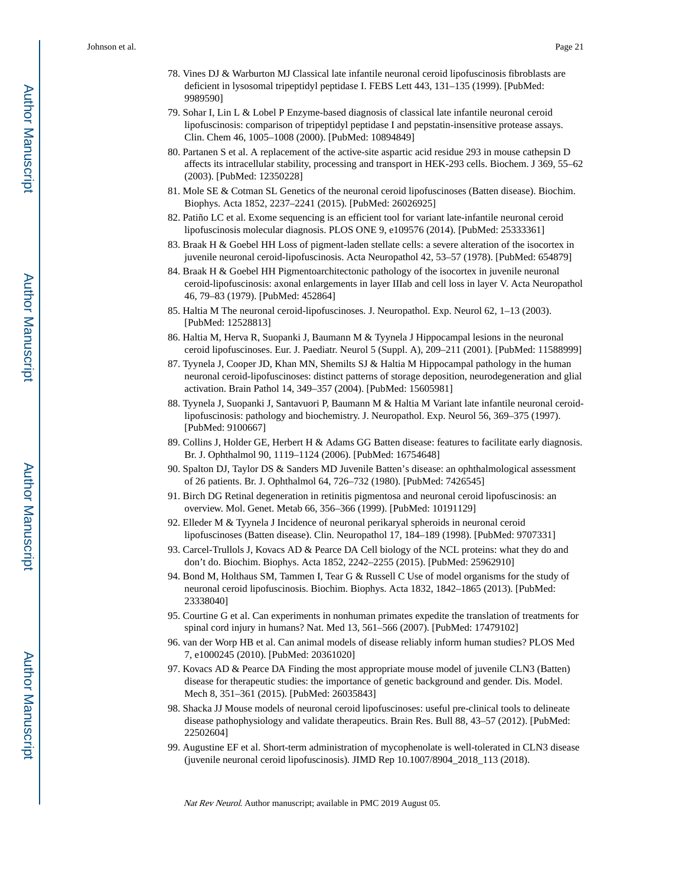- 78. Vines DJ & Warburton MJ Classical late infantile neuronal ceroid lipofuscinosis fibroblasts are deficient in lysosomal tripeptidyl peptidase I. FEBS Lett 443, 131–135 (1999). [PubMed: 9989590]
- 79. Sohar I, Lin L & Lobel P Enzyme-based diagnosis of classical late infantile neuronal ceroid lipofuscinosis: comparison of tripeptidyl peptidase I and pepstatin-insensitive protease assays. Clin. Chem 46, 1005–1008 (2000). [PubMed: 10894849]
- 80. Partanen S et al. A replacement of the active-site aspartic acid residue 293 in mouse cathepsin D affects its intracellular stability, processing and transport in HEK-293 cells. Biochem. J 369, 55–62 (2003). [PubMed: 12350228]
- 81. Mole SE & Cotman SL Genetics of the neuronal ceroid lipofuscinoses (Batten disease). Biochim. Biophys. Acta 1852, 2237–2241 (2015). [PubMed: 26026925]
- 82. Patiño LC et al. Exome sequencing is an efficient tool for variant late-infantile neuronal ceroid lipofuscinosis molecular diagnosis. PLOS ONE 9, e109576 (2014). [PubMed: 25333361]
- 83. Braak H & Goebel HH Loss of pigment-laden stellate cells: a severe alteration of the isocortex in juvenile neuronal ceroid-lipofuscinosis. Acta Neuropathol 42, 53–57 (1978). [PubMed: 654879]
- 84. Braak H & Goebel HH Pigmentoarchitectonic pathology of the isocortex in juvenile neuronal ceroid-lipofuscinosis: axonal enlargements in layer IIIab and cell loss in layer V. Acta Neuropathol 46, 79–83 (1979). [PubMed: 452864]
- 85. Haltia M The neuronal ceroid-lipofuscinoses. J. Neuropathol. Exp. Neurol 62, 1–13 (2003). [PubMed: 12528813]
- 86. Haltia M, Herva R, Suopanki J, Baumann M & Tyynela J Hippocampal lesions in the neuronal ceroid lipofuscinoses. Eur. J. Paediatr. Neurol 5 (Suppl. A), 209–211 (2001). [PubMed: 11588999]
- 87. Tyynela J, Cooper JD, Khan MN, Shemilts SJ & Haltia M Hippocampal pathology in the human neuronal ceroid-lipofuscinoses: distinct patterns of storage deposition, neurodegeneration and glial activation. Brain Pathol 14, 349–357 (2004). [PubMed: 15605981]
- 88. Tyynela J, Suopanki J, Santavuori P, Baumann M & Haltia M Variant late infantile neuronal ceroidlipofuscinosis: pathology and biochemistry. J. Neuropathol. Exp. Neurol 56, 369–375 (1997). [PubMed: 9100667]
- 89. Collins J, Holder GE, Herbert H & Adams GG Batten disease: features to facilitate early diagnosis. Br. J. Ophthalmol 90, 1119–1124 (2006). [PubMed: 16754648]
- 90. Spalton DJ, Taylor DS & Sanders MD Juvenile Batten's disease: an ophthalmological assessment of 26 patients. Br. J. Ophthalmol 64, 726–732 (1980). [PubMed: 7426545]
- 91. Birch DG Retinal degeneration in retinitis pigmentosa and neuronal ceroid lipofuscinosis: an overview. Mol. Genet. Metab 66, 356–366 (1999). [PubMed: 10191129]
- 92. Elleder M & Tyynela J Incidence of neuronal perikaryal spheroids in neuronal ceroid lipofuscinoses (Batten disease). Clin. Neuropathol 17, 184–189 (1998). [PubMed: 9707331]
- 93. Carcel-Trullols J, Kovacs AD & Pearce DA Cell biology of the NCL proteins: what they do and don't do. Biochim. Biophys. Acta 1852, 2242–2255 (2015). [PubMed: 25962910]
- 94. Bond M, Holthaus SM, Tammen I, Tear G & Russell C Use of model organisms for the study of neuronal ceroid lipofuscinosis. Biochim. Biophys. Acta 1832, 1842–1865 (2013). [PubMed: 23338040]
- 95. Courtine G et al. Can experiments in nonhuman primates expedite the translation of treatments for spinal cord injury in humans? Nat. Med 13, 561–566 (2007). [PubMed: 17479102]
- 96. van der Worp HB et al. Can animal models of disease reliably inform human studies? PLOS Med 7, e1000245 (2010). [PubMed: 20361020]
- 97. Kovacs AD & Pearce DA Finding the most appropriate mouse model of juvenile CLN3 (Batten) disease for therapeutic studies: the importance of genetic background and gender. Dis. Model. Mech 8, 351–361 (2015). [PubMed: 26035843]
- 98. Shacka JJ Mouse models of neuronal ceroid lipofuscinoses: useful pre-clinical tools to delineate disease pathophysiology and validate therapeutics. Brain Res. Bull 88, 43–57 (2012). [PubMed: 22502604]
- 99. Augustine EF et al. Short-term administration of mycophenolate is well-tolerated in CLN3 disease (juvenile neuronal ceroid lipofuscinosis). JIMD Rep 10.1007/8904\_2018\_113 (2018).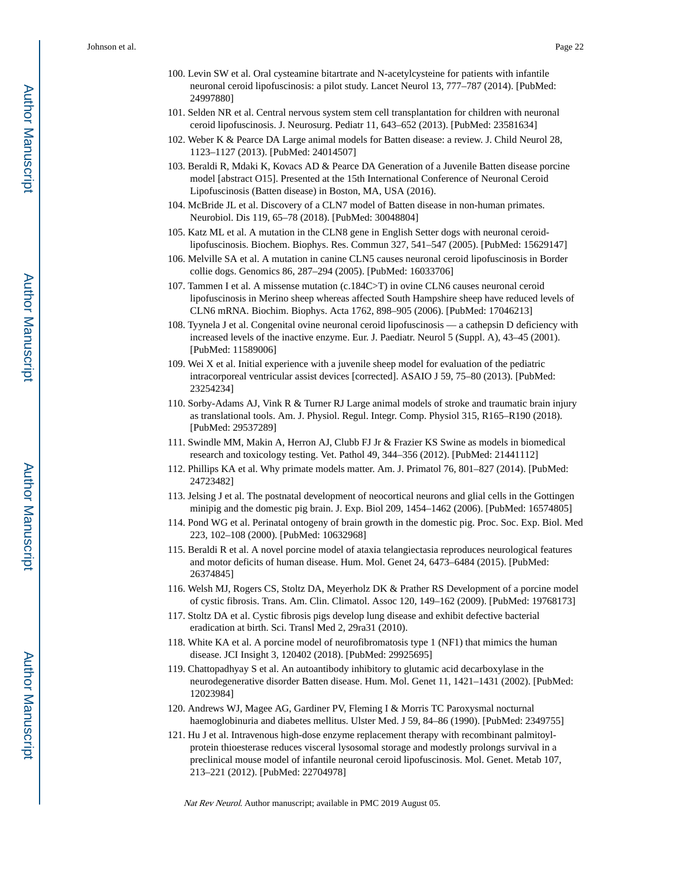- 100. Levin SW et al. Oral cysteamine bitartrate and N-acetylcysteine for patients with infantile neuronal ceroid lipofuscinosis: a pilot study. Lancet Neurol 13, 777–787 (2014). [PubMed: 24997880]
- 101. Selden NR et al. Central nervous system stem cell transplantation for children with neuronal ceroid lipofuscinosis. J. Neurosurg. Pediatr 11, 643–652 (2013). [PubMed: 23581634]
- 102. Weber K & Pearce DA Large animal models for Batten disease: a review. J. Child Neurol 28, 1123–1127 (2013). [PubMed: 24014507]
- 103. Beraldi R, Mdaki K, Kovacs AD & Pearce DA Generation of a Juvenile Batten disease porcine model [abstract O15]. Presented at the 15th International Conference of Neuronal Ceroid Lipofuscinosis (Batten disease) in Boston, MA, USA (2016).
- 104. McBride JL et al. Discovery of a CLN7 model of Batten disease in non-human primates. Neurobiol. Dis 119, 65–78 (2018). [PubMed: 30048804]
- 105. Katz ML et al. A mutation in the CLN8 gene in English Setter dogs with neuronal ceroidlipofuscinosis. Biochem. Biophys. Res. Commun 327, 541–547 (2005). [PubMed: 15629147]
- 106. Melville SA et al. A mutation in canine CLN5 causes neuronal ceroid lipofuscinosis in Border collie dogs. Genomics 86, 287–294 (2005). [PubMed: 16033706]
- 107. Tammen I et al. A missense mutation (c.184C>T) in ovine CLN6 causes neuronal ceroid lipofuscinosis in Merino sheep whereas affected South Hampshire sheep have reduced levels of CLN6 mRNA. Biochim. Biophys. Acta 1762, 898–905 (2006). [PubMed: 17046213]
- 108. Tyynela J et al. Congenital ovine neuronal ceroid lipofuscinosis a cathepsin D deficiency with increased levels of the inactive enzyme. Eur. J. Paediatr. Neurol 5 (Suppl. A), 43–45 (2001). [PubMed: 11589006]
- 109. Wei X et al. Initial experience with a juvenile sheep model for evaluation of the pediatric intracorporeal ventricular assist devices [corrected]. ASAIO J 59, 75–80 (2013). [PubMed: 23254234]
- 110. Sorby-Adams AJ, Vink R & Turner RJ Large animal models of stroke and traumatic brain injury as translational tools. Am. J. Physiol. Regul. Integr. Comp. Physiol 315, R165–R190 (2018). [PubMed: 29537289]
- 111. Swindle MM, Makin A, Herron AJ, Clubb FJ Jr & Frazier KS Swine as models in biomedical research and toxicology testing. Vet. Pathol 49, 344–356 (2012). [PubMed: 21441112]
- 112. Phillips KA et al. Why primate models matter. Am. J. Primatol 76, 801–827 (2014). [PubMed: 24723482]
- 113. Jelsing J et al. The postnatal development of neocortical neurons and glial cells in the Gottingen minipig and the domestic pig brain. J. Exp. Biol 209, 1454–1462 (2006). [PubMed: 16574805]
- 114. Pond WG et al. Perinatal ontogeny of brain growth in the domestic pig. Proc. Soc. Exp. Biol. Med 223, 102–108 (2000). [PubMed: 10632968]
- 115. Beraldi R et al. A novel porcine model of ataxia telangiectasia reproduces neurological features and motor deficits of human disease. Hum. Mol. Genet 24, 6473–6484 (2015). [PubMed: 26374845]
- 116. Welsh MJ, Rogers CS, Stoltz DA, Meyerholz DK & Prather RS Development of a porcine model of cystic fibrosis. Trans. Am. Clin. Climatol. Assoc 120, 149–162 (2009). [PubMed: 19768173]
- 117. Stoltz DA et al. Cystic fibrosis pigs develop lung disease and exhibit defective bacterial eradication at birth. Sci. Transl Med 2, 29ra31 (2010).
- 118. White KA et al. A porcine model of neurofibromatosis type 1 (NF1) that mimics the human disease. JCI Insight 3, 120402 (2018). [PubMed: 29925695]
- 119. Chattopadhyay S et al. An autoantibody inhibitory to glutamic acid decarboxylase in the neurodegenerative disorder Batten disease. Hum. Mol. Genet 11, 1421–1431 (2002). [PubMed: 12023984]
- 120. Andrews WJ, Magee AG, Gardiner PV, Fleming I & Morris TC Paroxysmal nocturnal haemoglobinuria and diabetes mellitus. Ulster Med. J 59, 84–86 (1990). [PubMed: 2349755]
- 121. Hu J et al. Intravenous high-dose enzyme replacement therapy with recombinant palmitoylprotein thioesterase reduces visceral lysosomal storage and modestly prolongs survival in a preclinical mouse model of infantile neuronal ceroid lipofuscinosis. Mol. Genet. Metab 107, 213–221 (2012). [PubMed: 22704978]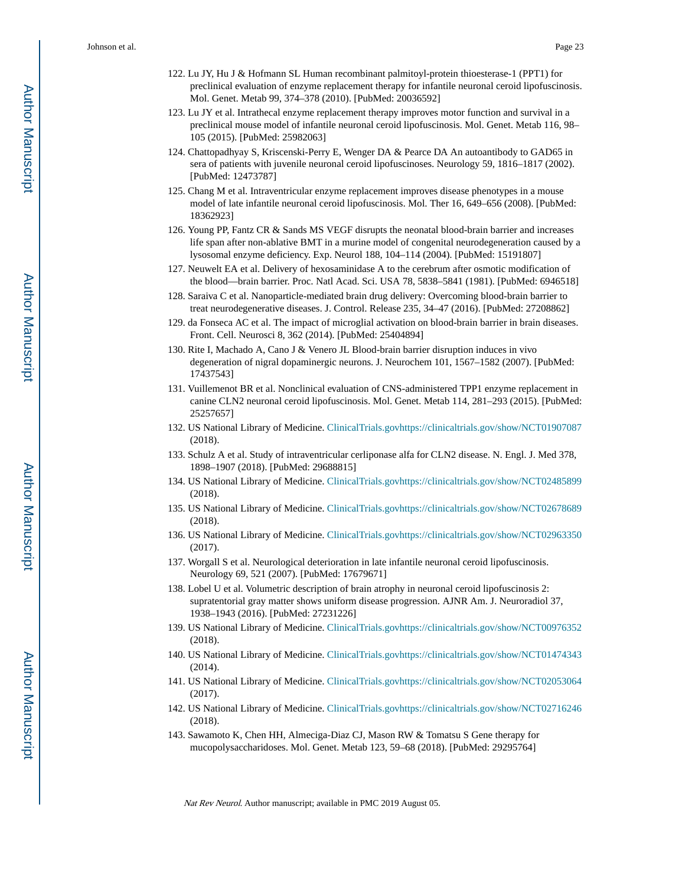- 122. Lu JY, Hu J & Hofmann SL Human recombinant palmitoyl-protein thioesterase-1 (PPT1) for preclinical evaluation of enzyme replacement therapy for infantile neuronal ceroid lipofuscinosis. Mol. Genet. Metab 99, 374–378 (2010). [PubMed: 20036592]
- 123. Lu JY et al. Intrathecal enzyme replacement therapy improves motor function and survival in a preclinical mouse model of infantile neuronal ceroid lipofuscinosis. Mol. Genet. Metab 116, 98– 105 (2015). [PubMed: 25982063]
- 124. Chattopadhyay S, Kriscenski-Perry E, Wenger DA & Pearce DA An autoantibody to GAD65 in sera of patients with juvenile neuronal ceroid lipofuscinoses. Neurology 59, 1816–1817 (2002). [PubMed: 12473787]
- 125. Chang M et al. Intraventricular enzyme replacement improves disease phenotypes in a mouse model of late infantile neuronal ceroid lipofuscinosis. Mol. Ther 16, 649–656 (2008). [PubMed: 18362923]
- 126. Young PP, Fantz CR & Sands MS VEGF disrupts the neonatal blood-brain barrier and increases life span after non-ablative BMT in a murine model of congenital neurodegeneration caused by a lysosomal enzyme deficiency. Exp. Neurol 188, 104–114 (2004). [PubMed: 15191807]
- 127. Neuwelt EA et al. Delivery of hexosaminidase A to the cerebrum after osmotic modification of the blood—brain barrier. Proc. Natl Acad. Sci. USA 78, 5838–5841 (1981). [PubMed: 6946518]
- 128. Saraiva C et al. Nanoparticle-mediated brain drug delivery: Overcoming blood-brain barrier to treat neurodegenerative diseases. J. Control. Release 235, 34–47 (2016). [PubMed: 27208862]
- 129. da Fonseca AC et al. The impact of microglial activation on blood-brain barrier in brain diseases. Front. Cell. Neurosci 8, 362 (2014). [PubMed: 25404894]
- 130. Rite I, Machado A, Cano J & Venero JL Blood-brain barrier disruption induces in vivo degeneration of nigral dopaminergic neurons. J. Neurochem 101, 1567–1582 (2007). [PubMed: 17437543]
- 131. Vuillemenot BR et al. Nonclinical evaluation of CNS-administered TPP1 enzyme replacement in canine CLN2 neuronal ceroid lipofuscinosis. Mol. Genet. Metab 114, 281–293 (2015). [PubMed: 25257657]
- 132. US National Library of Medicine. [ClinicalTrials.gov](http://ClinicalTrials.gov)<https://clinicaltrials.gov/show/NCT01907087> (2018).
- 133. Schulz A et al. Study of intraventricular cerliponase alfa for CLN2 disease. N. Engl. J. Med 378, 1898–1907 (2018). [PubMed: 29688815]
- 134. US National Library of Medicine. [ClinicalTrials.gov](http://ClinicalTrials.gov)<https://clinicaltrials.gov/show/NCT02485899> (2018).
- 135. US National Library of Medicine. [ClinicalTrials.gov](http://ClinicalTrials.gov)<https://clinicaltrials.gov/show/NCT02678689> (2018).
- 136. US National Library of Medicine. [ClinicalTrials.gov](http://ClinicalTrials.gov)<https://clinicaltrials.gov/show/NCT02963350> (2017).
- 137. Worgall S et al. Neurological deterioration in late infantile neuronal ceroid lipofuscinosis. Neurology 69, 521 (2007). [PubMed: 17679671]
- 138. Lobel U et al. Volumetric description of brain atrophy in neuronal ceroid lipofuscinosis 2: supratentorial gray matter shows uniform disease progression. AJNR Am. J. Neuroradiol 37, 1938–1943 (2016). [PubMed: 27231226]
- 139. US National Library of Medicine. [ClinicalTrials.gov](http://ClinicalTrials.gov)<https://clinicaltrials.gov/show/NCT00976352> (2018).
- 140. US National Library of Medicine. [ClinicalTrials.gov](http://ClinicalTrials.gov)<https://clinicaltrials.gov/show/NCT01474343> (2014).
- 141. US National Library of Medicine. [ClinicalTrials.gov](http://ClinicalTrials.gov)<https://clinicaltrials.gov/show/NCT02053064> (2017).
- 142. US National Library of Medicine. [ClinicalTrials.gov](http://ClinicalTrials.gov)<https://clinicaltrials.gov/show/NCT02716246> (2018).
- 143. Sawamoto K, Chen HH, Almeciga-Diaz CJ, Mason RW & Tomatsu S Gene therapy for mucopolysaccharidoses. Mol. Genet. Metab 123, 59–68 (2018). [PubMed: 29295764]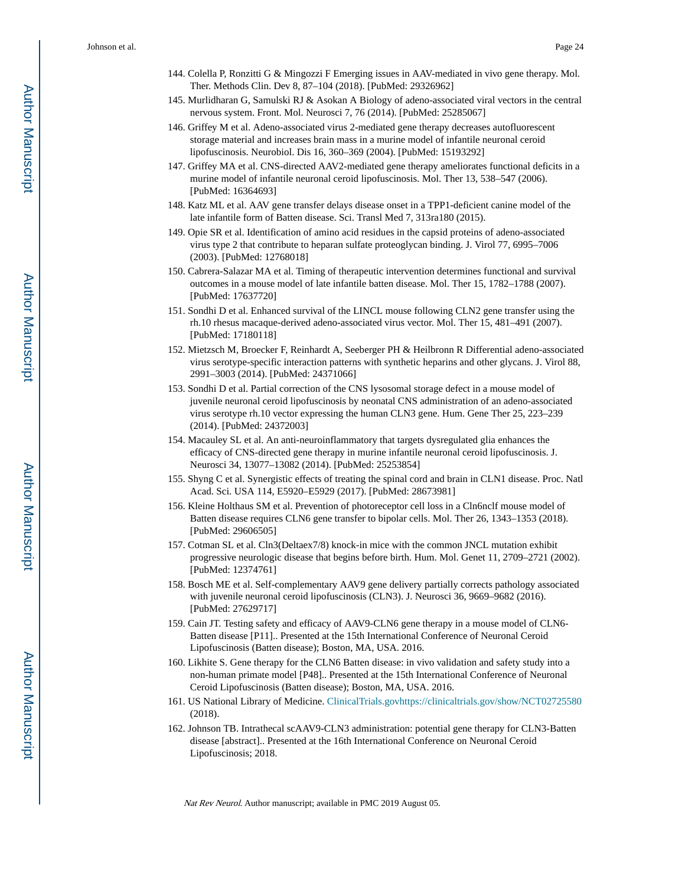- 144. Colella P, Ronzitti G & Mingozzi F Emerging issues in AAV-mediated in vivo gene therapy. Mol. Ther. Methods Clin. Dev 8, 87–104 (2018). [PubMed: 29326962]
- 145. Murlidharan G, Samulski RJ & Asokan A Biology of adeno-associated viral vectors in the central nervous system. Front. Mol. Neurosci 7, 76 (2014). [PubMed: 25285067]
- 146. Griffey M et al. Adeno-associated virus 2-mediated gene therapy decreases autofluorescent storage material and increases brain mass in a murine model of infantile neuronal ceroid lipofuscinosis. Neurobiol. Dis 16, 360–369 (2004). [PubMed: 15193292]
- 147. Griffey MA et al. CNS-directed AAV2-mediated gene therapy ameliorates functional deficits in a murine model of infantile neuronal ceroid lipofuscinosis. Mol. Ther 13, 538–547 (2006). [PubMed: 16364693]
- 148. Katz ML et al. AAV gene transfer delays disease onset in a TPP1-deficient canine model of the late infantile form of Batten disease. Sci. Transl Med 7, 313ra180 (2015).
- 149. Opie SR et al. Identification of amino acid residues in the capsid proteins of adeno-associated virus type 2 that contribute to heparan sulfate proteoglycan binding. J. Virol 77, 6995–7006 (2003). [PubMed: 12768018]
- 150. Cabrera-Salazar MA et al. Timing of therapeutic intervention determines functional and survival outcomes in a mouse model of late infantile batten disease. Mol. Ther 15, 1782–1788 (2007). [PubMed: 17637720]
- 151. Sondhi D et al. Enhanced survival of the LINCL mouse following CLN2 gene transfer using the rh.10 rhesus macaque-derived adeno-associated virus vector. Mol. Ther 15, 481–491 (2007). [PubMed: 17180118]
- 152. Mietzsch M, Broecker F, Reinhardt A, Seeberger PH & Heilbronn R Differential adeno-associated virus serotype-specific interaction patterns with synthetic heparins and other glycans. J. Virol 88, 2991–3003 (2014). [PubMed: 24371066]
- 153. Sondhi D et al. Partial correction of the CNS lysosomal storage defect in a mouse model of juvenile neuronal ceroid lipofuscinosis by neonatal CNS administration of an adeno-associated virus serotype rh.10 vector expressing the human CLN3 gene. Hum. Gene Ther 25, 223–239 (2014). [PubMed: 24372003]
- 154. Macauley SL et al. An anti-neuroinflammatory that targets dysregulated glia enhances the efficacy of CNS-directed gene therapy in murine infantile neuronal ceroid lipofuscinosis. J. Neurosci 34, 13077–13082 (2014). [PubMed: 25253854]
- 155. Shyng C et al. Synergistic effects of treating the spinal cord and brain in CLN1 disease. Proc. Natl Acad. Sci. USA 114, E5920–E5929 (2017). [PubMed: 28673981]
- 156. Kleine Holthaus SM et al. Prevention of photoreceptor cell loss in a Cln6nclf mouse model of Batten disease requires CLN6 gene transfer to bipolar cells. Mol. Ther 26, 1343–1353 (2018). [PubMed: 29606505]
- 157. Cotman SL et al. Cln3(Deltaex7/8) knock-in mice with the common JNCL mutation exhibit progressive neurologic disease that begins before birth. Hum. Mol. Genet 11, 2709–2721 (2002). [PubMed: 12374761]
- 158. Bosch ME et al. Self-complementary AAV9 gene delivery partially corrects pathology associated with juvenile neuronal ceroid lipofuscinosis (CLN3). J. Neurosci 36, 9669–9682 (2016). [PubMed: 27629717]
- 159. Cain JT. Testing safety and efficacy of AAV9-CLN6 gene therapy in a mouse model of CLN6- Batten disease [P11].. Presented at the 15th International Conference of Neuronal Ceroid Lipofuscinosis (Batten disease); Boston, MA, USA. 2016.
- 160. Likhite S. Gene therapy for the CLN6 Batten disease: in vivo validation and safety study into a non-human primate model [P48].. Presented at the 15th International Conference of Neuronal Ceroid Lipofuscinosis (Batten disease); Boston, MA, USA. 2016.
- 161. US National Library of Medicine. [ClinicalTrials.gov](http://ClinicalTrials.gov)<https://clinicaltrials.gov/show/NCT02725580> (2018).
- 162. Johnson TB. Intrathecal scAAV9-CLN3 administration: potential gene therapy for CLN3-Batten disease [abstract].. Presented at the 16th International Conference on Neuronal Ceroid Lipofuscinosis; 2018.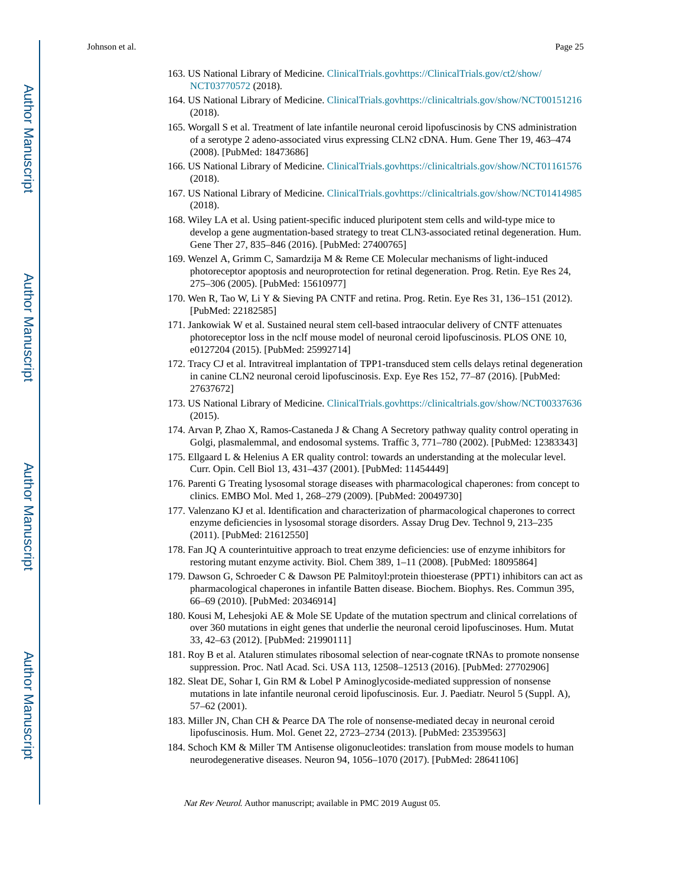- 163. US National Library of Medicine. [ClinicalTrials.gov](http://ClinicalTrials.gov)[https://ClinicalTrials.gov/ct2/show/](https://ClinicalTrials.gov/ct2/show/NCT03770572) [NCT03770572](https://ClinicalTrials.gov/ct2/show/NCT03770572) (2018).
- 164. US National Library of Medicine. [ClinicalTrials.gov](http://ClinicalTrials.gov)<https://clinicaltrials.gov/show/NCT00151216> (2018).
- 165. Worgall S et al. Treatment of late infantile neuronal ceroid lipofuscinosis by CNS administration of a serotype 2 adeno-associated virus expressing CLN2 cDNA. Hum. Gene Ther 19, 463–474 (2008). [PubMed: 18473686]
- 166. US National Library of Medicine. [ClinicalTrials.gov](http://ClinicalTrials.gov)<https://clinicaltrials.gov/show/NCT01161576> (2018).
- 167. US National Library of Medicine. [ClinicalTrials.gov](http://ClinicalTrials.gov)<https://clinicaltrials.gov/show/NCT01414985> (2018).
- 168. Wiley LA et al. Using patient-specific induced pluripotent stem cells and wild-type mice to develop a gene augmentation-based strategy to treat CLN3-associated retinal degeneration. Hum. Gene Ther 27, 835–846 (2016). [PubMed: 27400765]
- 169. Wenzel A, Grimm C, Samardzija M & Reme CE Molecular mechanisms of light-induced photoreceptor apoptosis and neuroprotection for retinal degeneration. Prog. Retin. Eye Res 24, 275–306 (2005). [PubMed: 15610977]
- 170. Wen R, Tao W, Li Y & Sieving PA CNTF and retina. Prog. Retin. Eye Res 31, 136–151 (2012). [PubMed: 22182585]
- 171. Jankowiak W et al. Sustained neural stem cell-based intraocular delivery of CNTF attenuates photoreceptor loss in the nclf mouse model of neuronal ceroid lipofuscinosis. PLOS ONE 10, e0127204 (2015). [PubMed: 25992714]
- 172. Tracy CJ et al. Intravitreal implantation of TPP1-transduced stem cells delays retinal degeneration in canine CLN2 neuronal ceroid lipofuscinosis. Exp. Eye Res 152, 77–87 (2016). [PubMed: 27637672]
- 173. US National Library of Medicine. [ClinicalTrials.gov](http://ClinicalTrials.gov)<https://clinicaltrials.gov/show/NCT00337636> (2015).
- 174. Arvan P, Zhao X, Ramos-Castaneda J & Chang A Secretory pathway quality control operating in Golgi, plasmalemmal, and endosomal systems. Traffic 3, 771–780 (2002). [PubMed: 12383343]
- 175. Ellgaard L & Helenius A ER quality control: towards an understanding at the molecular level. Curr. Opin. Cell Biol 13, 431–437 (2001). [PubMed: 11454449]
- 176. Parenti G Treating lysosomal storage diseases with pharmacological chaperones: from concept to clinics. EMBO Mol. Med 1, 268–279 (2009). [PubMed: 20049730]
- 177. Valenzano KJ et al. Identification and characterization of pharmacological chaperones to correct enzyme deficiencies in lysosomal storage disorders. Assay Drug Dev. Technol 9, 213–235 (2011). [PubMed: 21612550]
- 178. Fan JQ A counterintuitive approach to treat enzyme deficiencies: use of enzyme inhibitors for restoring mutant enzyme activity. Biol. Chem 389, 1–11 (2008). [PubMed: 18095864]
- 179. Dawson G, Schroeder C & Dawson PE Palmitoyl:protein thioesterase (PPT1) inhibitors can act as pharmacological chaperones in infantile Batten disease. Biochem. Biophys. Res. Commun 395, 66–69 (2010). [PubMed: 20346914]
- 180. Kousi M, Lehesjoki AE & Mole SE Update of the mutation spectrum and clinical correlations of over 360 mutations in eight genes that underlie the neuronal ceroid lipofuscinoses. Hum. Mutat 33, 42–63 (2012). [PubMed: 21990111]
- 181. Roy B et al. Ataluren stimulates ribosomal selection of near-cognate tRNAs to promote nonsense suppression. Proc. Natl Acad. Sci. USA 113, 12508–12513 (2016). [PubMed: 27702906]
- 182. Sleat DE, Sohar I, Gin RM & Lobel P Aminoglycoside-mediated suppression of nonsense mutations in late infantile neuronal ceroid lipofuscinosis. Eur. J. Paediatr. Neurol 5 (Suppl. A), 57–62 (2001).
- 183. Miller JN, Chan CH & Pearce DA The role of nonsense-mediated decay in neuronal ceroid lipofuscinosis. Hum. Mol. Genet 22, 2723–2734 (2013). [PubMed: 23539563]
- 184. Schoch KM & Miller TM Antisense oligonucleotides: translation from mouse models to human neurodegenerative diseases. Neuron 94, 1056–1070 (2017). [PubMed: 28641106]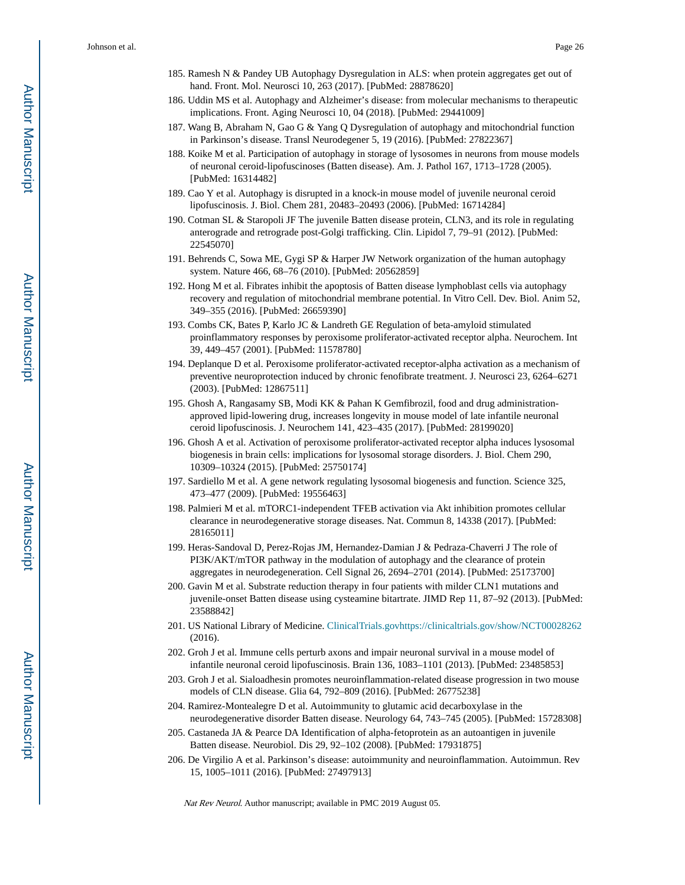- 185. Ramesh N & Pandey UB Autophagy Dysregulation in ALS: when protein aggregates get out of hand. Front. Mol. Neurosci 10, 263 (2017). [PubMed: 28878620]
- 186. Uddin MS et al. Autophagy and Alzheimer's disease: from molecular mechanisms to therapeutic implications. Front. Aging Neurosci 10, 04 (2018). [PubMed: 29441009]
- 187. Wang B, Abraham N, Gao G & Yang Q Dysregulation of autophagy and mitochondrial function in Parkinson's disease. Transl Neurodegener 5, 19 (2016). [PubMed: 27822367]
- 188. Koike M et al. Participation of autophagy in storage of lysosomes in neurons from mouse models of neuronal ceroid-lipofuscinoses (Batten disease). Am. J. Pathol 167, 1713–1728 (2005). [PubMed: 16314482]
- 189. Cao Y et al. Autophagy is disrupted in a knock-in mouse model of juvenile neuronal ceroid lipofuscinosis. J. Biol. Chem 281, 20483–20493 (2006). [PubMed: 16714284]
- 190. Cotman SL & Staropoli JF The juvenile Batten disease protein, CLN3, and its role in regulating anterograde and retrograde post-Golgi trafficking. Clin. Lipidol 7, 79–91 (2012). [PubMed: 22545070]
- 191. Behrends C, Sowa ME, Gygi SP & Harper JW Network organization of the human autophagy system. Nature 466, 68–76 (2010). [PubMed: 20562859]
- 192. Hong M et al. Fibrates inhibit the apoptosis of Batten disease lymphoblast cells via autophagy recovery and regulation of mitochondrial membrane potential. In Vitro Cell. Dev. Biol. Anim 52, 349–355 (2016). [PubMed: 26659390]
- 193. Combs CK, Bates P, Karlo JC & Landreth GE Regulation of beta-amyloid stimulated proinflammatory responses by peroxisome proliferator-activated receptor alpha. Neurochem. Int 39, 449–457 (2001). [PubMed: 11578780]
- 194. Deplanque D et al. Peroxisome proliferator-activated receptor-alpha activation as a mechanism of preventive neuroprotection induced by chronic fenofibrate treatment. J. Neurosci 23, 6264–6271 (2003). [PubMed: 12867511]
- 195. Ghosh A, Rangasamy SB, Modi KK & Pahan K Gemfibrozil, food and drug administrationapproved lipid-lowering drug, increases longevity in mouse model of late infantile neuronal ceroid lipofuscinosis. J. Neurochem 141, 423–435 (2017). [PubMed: 28199020]
- 196. Ghosh A et al. Activation of peroxisome proliferator-activated receptor alpha induces lysosomal biogenesis in brain cells: implications for lysosomal storage disorders. J. Biol. Chem 290, 10309–10324 (2015). [PubMed: 25750174]
- 197. Sardiello M et al. A gene network regulating lysosomal biogenesis and function. Science 325, 473–477 (2009). [PubMed: 19556463]
- 198. Palmieri M et al. mTORC1-independent TFEB activation via Akt inhibition promotes cellular clearance in neurodegenerative storage diseases. Nat. Commun 8, 14338 (2017). [PubMed: 28165011]
- 199. Heras-Sandoval D, Perez-Rojas JM, Hernandez-Damian J & Pedraza-Chaverri J The role of PI3K/AKT/mTOR pathway in the modulation of autophagy and the clearance of protein aggregates in neurodegeneration. Cell Signal 26, 2694–2701 (2014). [PubMed: 25173700]
- 200. Gavin M et al. Substrate reduction therapy in four patients with milder CLN1 mutations and juvenile-onset Batten disease using cysteamine bitartrate. JIMD Rep 11, 87–92 (2013). [PubMed: 23588842]
- 201. US National Library of Medicine. [ClinicalTrials.gov](http://ClinicalTrials.gov)<https://clinicaltrials.gov/show/NCT00028262> (2016).
- 202. Groh J et al. Immune cells perturb axons and impair neuronal survival in a mouse model of infantile neuronal ceroid lipofuscinosis. Brain 136, 1083–1101 (2013). [PubMed: 23485853]
- 203. Groh J et al. Sialoadhesin promotes neuroinflammation-related disease progression in two mouse models of CLN disease. Glia 64, 792–809 (2016). [PubMed: 26775238]
- 204. Ramirez-Montealegre D et al. Autoimmunity to glutamic acid decarboxylase in the neurodegenerative disorder Batten disease. Neurology 64, 743–745 (2005). [PubMed: 15728308]
- 205. Castaneda JA & Pearce DA Identification of alpha-fetoprotein as an autoantigen in juvenile Batten disease. Neurobiol. Dis 29, 92–102 (2008). [PubMed: 17931875]
- 206. De Virgilio A et al. Parkinson's disease: autoimmunity and neuroinflammation. Autoimmun. Rev 15, 1005–1011 (2016). [PubMed: 27497913]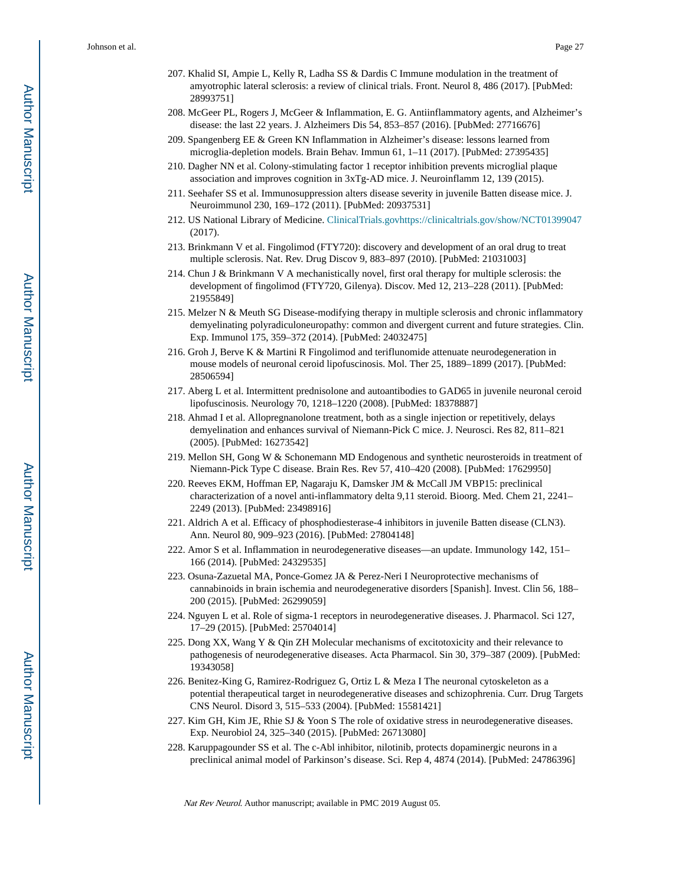- 207. Khalid SI, Ampie L, Kelly R, Ladha SS & Dardis C Immune modulation in the treatment of amyotrophic lateral sclerosis: a review of clinical trials. Front. Neurol 8, 486 (2017). [PubMed: 28993751]
- 208. McGeer PL, Rogers J, McGeer & Inflammation, E. G. Antiinflammatory agents, and Alzheimer's disease: the last 22 years. J. Alzheimers Dis 54, 853–857 (2016). [PubMed: 27716676]
- 209. Spangenberg EE & Green KN Inflammation in Alzheimer's disease: lessons learned from microglia-depletion models. Brain Behav. Immun 61, 1–11 (2017). [PubMed: 27395435]
- 210. Dagher NN et al. Colony-stimulating factor 1 receptor inhibition prevents microglial plaque association and improves cognition in 3xTg-AD mice. J. Neuroinflamm 12, 139 (2015).
- 211. Seehafer SS et al. Immunosuppression alters disease severity in juvenile Batten disease mice. J. Neuroimmunol 230, 169–172 (2011). [PubMed: 20937531]
- 212. US National Library of Medicine. [ClinicalTrials.gov](http://ClinicalTrials.gov)<https://clinicaltrials.gov/show/NCT01399047> (2017).
- 213. Brinkmann V et al. Fingolimod (FTY720): discovery and development of an oral drug to treat multiple sclerosis. Nat. Rev. Drug Discov 9, 883–897 (2010). [PubMed: 21031003]
- 214. Chun J & Brinkmann V A mechanistically novel, first oral therapy for multiple sclerosis: the development of fingolimod (FTY720, Gilenya). Discov. Med 12, 213–228 (2011). [PubMed: 21955849]
- 215. Melzer N & Meuth SG Disease-modifying therapy in multiple sclerosis and chronic inflammatory demyelinating polyradiculoneuropathy: common and divergent current and future strategies. Clin. Exp. Immunol 175, 359–372 (2014). [PubMed: 24032475]
- 216. Groh J, Berve K & Martini R Fingolimod and teriflunomide attenuate neurodegeneration in mouse models of neuronal ceroid lipofuscinosis. Mol. Ther 25, 1889–1899 (2017). [PubMed: 28506594]
- 217. Aberg L et al. Intermittent prednisolone and autoantibodies to GAD65 in juvenile neuronal ceroid lipofuscinosis. Neurology 70, 1218–1220 (2008). [PubMed: 18378887]
- 218. Ahmad I et al. Allopregnanolone treatment, both as a single injection or repetitively, delays demyelination and enhances survival of Niemann-Pick C mice. J. Neurosci. Res 82, 811–821 (2005). [PubMed: 16273542]
- 219. Mellon SH, Gong W & Schonemann MD Endogenous and synthetic neurosteroids in treatment of Niemann-Pick Type C disease. Brain Res. Rev 57, 410–420 (2008). [PubMed: 17629950]
- 220. Reeves EKM, Hoffman EP, Nagaraju K, Damsker JM & McCall JM VBP15: preclinical characterization of a novel anti-inflammatory delta 9,11 steroid. Bioorg. Med. Chem 21, 2241– 2249 (2013). [PubMed: 23498916]
- 221. Aldrich A et al. Efficacy of phosphodiesterase-4 inhibitors in juvenile Batten disease (CLN3). Ann. Neurol 80, 909–923 (2016). [PubMed: 27804148]
- 222. Amor S et al. Inflammation in neurodegenerative diseases—an update. Immunology 142, 151– 166 (2014). [PubMed: 24329535]
- 223. Osuna-Zazuetal MA, Ponce-Gomez JA & Perez-Neri I Neuroprotective mechanisms of cannabinoids in brain ischemia and neurodegenerative disorders [Spanish]. Invest. Clin 56, 188– 200 (2015). [PubMed: 26299059]
- 224. Nguyen L et al. Role of sigma-1 receptors in neurodegenerative diseases. J. Pharmacol. Sci 127, 17–29 (2015). [PubMed: 25704014]
- 225. Dong XX, Wang Y & Qin ZH Molecular mechanisms of excitotoxicity and their relevance to pathogenesis of neurodegenerative diseases. Acta Pharmacol. Sin 30, 379–387 (2009). [PubMed: 19343058]
- 226. Benitez-King G, Ramirez-Rodriguez G, Ortiz L & Meza I The neuronal cytoskeleton as a potential therapeutical target in neurodegenerative diseases and schizophrenia. Curr. Drug Targets CNS Neurol. Disord 3, 515–533 (2004). [PubMed: 15581421]
- 227. Kim GH, Kim JE, Rhie SJ & Yoon S The role of oxidative stress in neurodegenerative diseases. Exp. Neurobiol 24, 325–340 (2015). [PubMed: 26713080]
- 228. Karuppagounder SS et al. The c-Abl inhibitor, nilotinib, protects dopaminergic neurons in a preclinical animal model of Parkinson's disease. Sci. Rep 4, 4874 (2014). [PubMed: 24786396]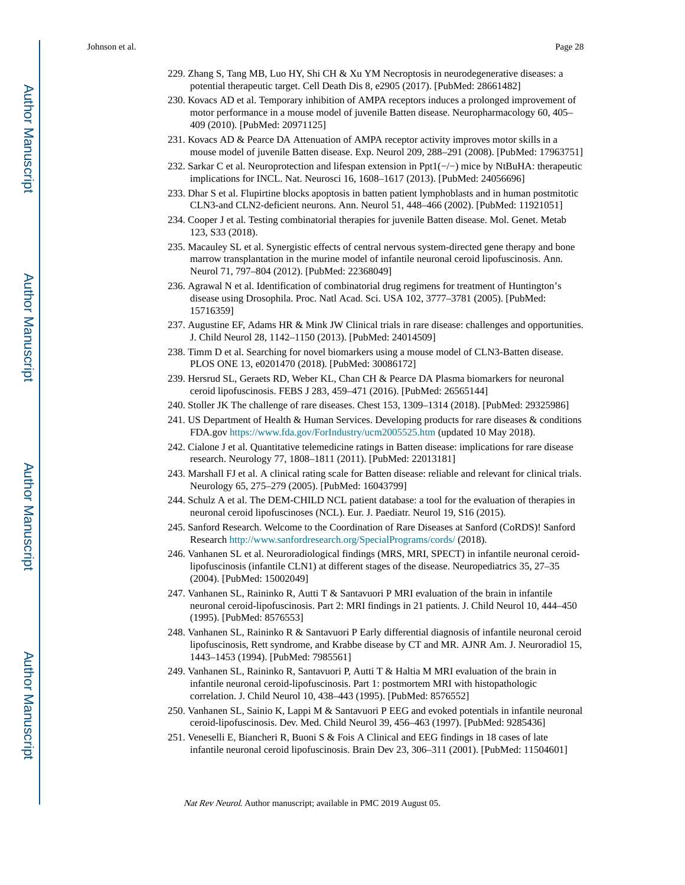- 229. Zhang S, Tang MB, Luo HY, Shi CH & Xu YM Necroptosis in neurodegenerative diseases: a potential therapeutic target. Cell Death Dis 8, e2905 (2017). [PubMed: 28661482]
- 230. Kovacs AD et al. Temporary inhibition of AMPA receptors induces a prolonged improvement of motor performance in a mouse model of juvenile Batten disease. Neuropharmacology 60, 405– 409 (2010). [PubMed: 20971125]
- 231. Kovacs AD & Pearce DA Attenuation of AMPA receptor activity improves motor skills in a mouse model of juvenile Batten disease. Exp. Neurol 209, 288–291 (2008). [PubMed: 17963751]
- 232. Sarkar C et al. Neuroprotection and lifespan extension in Ppt1(−/−) mice by NtBuHA: therapeutic implications for INCL. Nat. Neurosci 16, 1608–1617 (2013). [PubMed: 24056696]
- 233. Dhar S et al. Flupirtine blocks apoptosis in batten patient lymphoblasts and in human postmitotic CLN3-and CLN2-deficient neurons. Ann. Neurol 51, 448–466 (2002). [PubMed: 11921051]
- 234. Cooper J et al. Testing combinatorial therapies for juvenile Batten disease. Mol. Genet. Metab 123, S33 (2018).
- 235. Macauley SL et al. Synergistic effects of central nervous system-directed gene therapy and bone marrow transplantation in the murine model of infantile neuronal ceroid lipofuscinosis. Ann. Neurol 71, 797–804 (2012). [PubMed: 22368049]
- 236. Agrawal N et al. Identification of combinatorial drug regimens for treatment of Huntington's disease using Drosophila. Proc. Natl Acad. Sci. USA 102, 3777–3781 (2005). [PubMed: 15716359]
- 237. Augustine EF, Adams HR & Mink JW Clinical trials in rare disease: challenges and opportunities. J. Child Neurol 28, 1142–1150 (2013). [PubMed: 24014509]
- 238. Timm D et al. Searching for novel biomarkers using a mouse model of CLN3-Batten disease. PLOS ONE 13, e0201470 (2018). [PubMed: 30086172]
- 239. Hersrud SL, Geraets RD, Weber KL, Chan CH & Pearce DA Plasma biomarkers for neuronal ceroid lipofuscinosis. FEBS J 283, 459–471 (2016). [PubMed: 26565144]
- 240. Stoller JK The challenge of rare diseases. Chest 153, 1309–1314 (2018). [PubMed: 29325986]
- 241. US Department of Health & Human Services. Developing products for rare diseases & conditions FDA.gov <https://www.fda.gov/ForIndustry/ucm2005525.htm> (updated 10 May 2018).
- 242. Cialone J et al. Quantitative telemedicine ratings in Batten disease: implications for rare disease research. Neurology 77, 1808–1811 (2011). [PubMed: 22013181]
- 243. Marshall FJ et al. A clinical rating scale for Batten disease: reliable and relevant for clinical trials. Neurology 65, 275–279 (2005). [PubMed: 16043799]
- 244. Schulz A et al. The DEM-CHILD NCL patient database: a tool for the evaluation of therapies in neuronal ceroid lipofuscinoses (NCL). Eur. J. Paediatr. Neurol 19, S16 (2015).
- 245. Sanford Research. Welcome to the Coordination of Rare Diseases at Sanford (CoRDS)! Sanford Research<http://www.sanfordresearch.org/SpecialPrograms/cords/>(2018).
- 246. Vanhanen SL et al. Neuroradiological findings (MRS, MRI, SPECT) in infantile neuronal ceroidlipofuscinosis (infantile CLN1) at different stages of the disease. Neuropediatrics 35, 27–35 (2004). [PubMed: 15002049]
- 247. Vanhanen SL, Raininko R, Autti T & Santavuori P MRI evaluation of the brain in infantile neuronal ceroid-lipofuscinosis. Part 2: MRI findings in 21 patients. J. Child Neurol 10, 444–450 (1995). [PubMed: 8576553]
- 248. Vanhanen SL, Raininko R & Santavuori P Early differential diagnosis of infantile neuronal ceroid lipofuscinosis, Rett syndrome, and Krabbe disease by CT and MR. AJNR Am. J. Neuroradiol 15, 1443–1453 (1994). [PubMed: 7985561]
- 249. Vanhanen SL, Raininko R, Santavuori P, Autti T & Haltia M MRI evaluation of the brain in infantile neuronal ceroid-lipofuscinosis. Part 1: postmortem MRI with histopathologic correlation. J. Child Neurol 10, 438–443 (1995). [PubMed: 8576552]
- 250. Vanhanen SL, Sainio K, Lappi M & Santavuori P EEG and evoked potentials in infantile neuronal ceroid-lipofuscinosis. Dev. Med. Child Neurol 39, 456–463 (1997). [PubMed: 9285436]
- 251. Veneselli E, Biancheri R, Buoni S & Fois A Clinical and EEG findings in 18 cases of late infantile neuronal ceroid lipofuscinosis. Brain Dev 23, 306–311 (2001). [PubMed: 11504601]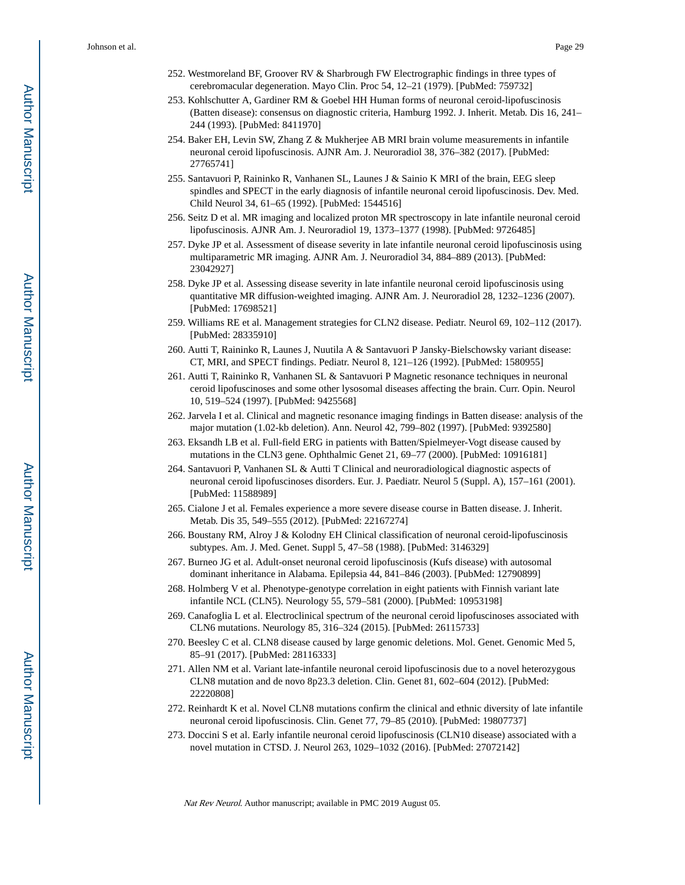- 252. Westmoreland BF, Groover RV & Sharbrough FW Electrographic findings in three types of cerebromacular degeneration. Mayo Clin. Proc 54, 12–21 (1979). [PubMed: 759732]
- 253. Kohlschutter A, Gardiner RM & Goebel HH Human forms of neuronal ceroid-lipofuscinosis (Batten disease): consensus on diagnostic criteria, Hamburg 1992. J. Inherit. Metab. Dis 16, 241– 244 (1993). [PubMed: 8411970]
- 254. Baker EH, Levin SW, Zhang Z & Mukherjee AB MRI brain volume measurements in infantile neuronal ceroid lipofuscinosis. AJNR Am. J. Neuroradiol 38, 376–382 (2017). [PubMed: 27765741]
- 255. Santavuori P, Raininko R, Vanhanen SL, Launes J & Sainio K MRI of the brain, EEG sleep spindles and SPECT in the early diagnosis of infantile neuronal ceroid lipofuscinosis. Dev. Med. Child Neurol 34, 61–65 (1992). [PubMed: 1544516]
- 256. Seitz D et al. MR imaging and localized proton MR spectroscopy in late infantile neuronal ceroid lipofuscinosis. AJNR Am. J. Neuroradiol 19, 1373–1377 (1998). [PubMed: 9726485]
- 257. Dyke JP et al. Assessment of disease severity in late infantile neuronal ceroid lipofuscinosis using multiparametric MR imaging. AJNR Am. J. Neuroradiol 34, 884–889 (2013). [PubMed: 23042927]
- 258. Dyke JP et al. Assessing disease severity in late infantile neuronal ceroid lipofuscinosis using quantitative MR diffusion-weighted imaging. AJNR Am. J. Neuroradiol 28, 1232–1236 (2007). [PubMed: 17698521]
- 259. Williams RE et al. Management strategies for CLN2 disease. Pediatr. Neurol 69, 102–112 (2017). [PubMed: 28335910]
- 260. Autti T, Raininko R, Launes J, Nuutila A & Santavuori P Jansky-Bielschowsky variant disease: CT, MRI, and SPECT findings. Pediatr. Neurol 8, 121–126 (1992). [PubMed: 1580955]
- 261. Autti T, Raininko R, Vanhanen SL & Santavuori P Magnetic resonance techniques in neuronal ceroid lipofuscinoses and some other lysosomal diseases affecting the brain. Curr. Opin. Neurol 10, 519–524 (1997). [PubMed: 9425568]
- 262. Jarvela I et al. Clinical and magnetic resonance imaging findings in Batten disease: analysis of the major mutation (1.02-kb deletion). Ann. Neurol 42, 799–802 (1997). [PubMed: 9392580]
- 263. Eksandh LB et al. Full-field ERG in patients with Batten/Spielmeyer-Vogt disease caused by mutations in the CLN3 gene. Ophthalmic Genet 21, 69–77 (2000). [PubMed: 10916181]
- 264. Santavuori P, Vanhanen SL & Autti T Clinical and neuroradiological diagnostic aspects of neuronal ceroid lipofuscinoses disorders. Eur. J. Paediatr. Neurol 5 (Suppl. A), 157–161 (2001). [PubMed: 11588989]
- 265. Cialone J et al. Females experience a more severe disease course in Batten disease. J. Inherit. Metab. Dis 35, 549–555 (2012). [PubMed: 22167274]
- 266. Boustany RM, Alroy J & Kolodny EH Clinical classification of neuronal ceroid-lipofuscinosis subtypes. Am. J. Med. Genet. Suppl 5, 47–58 (1988). [PubMed: 3146329]
- 267. Burneo JG et al. Adult-onset neuronal ceroid lipofuscinosis (Kufs disease) with autosomal dominant inheritance in Alabama. Epilepsia 44, 841–846 (2003). [PubMed: 12790899]
- 268. Holmberg V et al. Phenotype-genotype correlation in eight patients with Finnish variant late infantile NCL (CLN5). Neurology 55, 579–581 (2000). [PubMed: 10953198]
- 269. Canafoglia L et al. Electroclinical spectrum of the neuronal ceroid lipofuscinoses associated with CLN6 mutations. Neurology 85, 316–324 (2015). [PubMed: 26115733]
- 270. Beesley C et al. CLN8 disease caused by large genomic deletions. Mol. Genet. Genomic Med 5, 85–91 (2017). [PubMed: 28116333]
- 271. Allen NM et al. Variant late-infantile neuronal ceroid lipofuscinosis due to a novel heterozygous CLN8 mutation and de novo 8p23.3 deletion. Clin. Genet 81, 602–604 (2012). [PubMed: 22220808]
- 272. Reinhardt K et al. Novel CLN8 mutations confirm the clinical and ethnic diversity of late infantile neuronal ceroid lipofuscinosis. Clin. Genet 77, 79–85 (2010). [PubMed: 19807737]
- 273. Doccini S et al. Early infantile neuronal ceroid lipofuscinosis (CLN10 disease) associated with a novel mutation in CTSD. J. Neurol 263, 1029–1032 (2016). [PubMed: 27072142]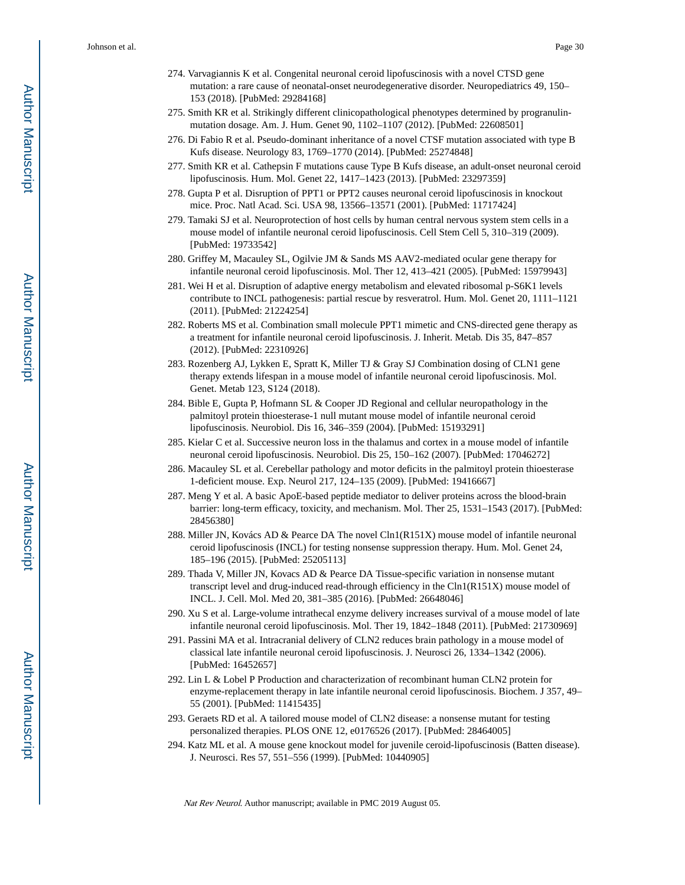- 274. Varvagiannis K et al. Congenital neuronal ceroid lipofuscinosis with a novel CTSD gene mutation: a rare cause of neonatal-onset neurodegenerative disorder. Neuropediatrics 49, 150– 153 (2018). [PubMed: 29284168]
- 275. Smith KR et al. Strikingly different clinicopathological phenotypes determined by progranulinmutation dosage. Am. J. Hum. Genet 90, 1102–1107 (2012). [PubMed: 22608501]
- 276. Di Fabio R et al. Pseudo-dominant inheritance of a novel CTSF mutation associated with type B Kufs disease. Neurology 83, 1769–1770 (2014). [PubMed: 25274848]
- 277. Smith KR et al. Cathepsin F mutations cause Type B Kufs disease, an adult-onset neuronal ceroid lipofuscinosis. Hum. Mol. Genet 22, 1417–1423 (2013). [PubMed: 23297359]
- 278. Gupta P et al. Disruption of PPT1 or PPT2 causes neuronal ceroid lipofuscinosis in knockout mice. Proc. Natl Acad. Sci. USA 98, 13566–13571 (2001). [PubMed: 11717424]
- 279. Tamaki SJ et al. Neuroprotection of host cells by human central nervous system stem cells in a mouse model of infantile neuronal ceroid lipofuscinosis. Cell Stem Cell 5, 310–319 (2009). [PubMed: 19733542]
- 280. Griffey M, Macauley SL, Ogilvie JM & Sands MS AAV2-mediated ocular gene therapy for infantile neuronal ceroid lipofuscinosis. Mol. Ther 12, 413–421 (2005). [PubMed: 15979943]
- 281. Wei H et al. Disruption of adaptive energy metabolism and elevated ribosomal p-S6K1 levels contribute to INCL pathogenesis: partial rescue by resveratrol. Hum. Mol. Genet 20, 1111–1121 (2011). [PubMed: 21224254]
- 282. Roberts MS et al. Combination small molecule PPT1 mimetic and CNS-directed gene therapy as a treatment for infantile neuronal ceroid lipofuscinosis. J. Inherit. Metab. Dis 35, 847–857 (2012). [PubMed: 22310926]
- 283. Rozenberg AJ, Lykken E, Spratt K, Miller TJ & Gray SJ Combination dosing of CLN1 gene therapy extends lifespan in a mouse model of infantile neuronal ceroid lipofuscinosis. Mol. Genet. Metab 123, S124 (2018).
- 284. Bible E, Gupta P, Hofmann SL & Cooper JD Regional and cellular neuropathology in the palmitoyl protein thioesterase-1 null mutant mouse model of infantile neuronal ceroid lipofuscinosis. Neurobiol. Dis 16, 346–359 (2004). [PubMed: 15193291]
- 285. Kielar C et al. Successive neuron loss in the thalamus and cortex in a mouse model of infantile neuronal ceroid lipofuscinosis. Neurobiol. Dis 25, 150–162 (2007). [PubMed: 17046272]
- 286. Macauley SL et al. Cerebellar pathology and motor deficits in the palmitoyl protein thioesterase 1-deficient mouse. Exp. Neurol 217, 124–135 (2009). [PubMed: 19416667]
- 287. Meng Y et al. A basic ApoE-based peptide mediator to deliver proteins across the blood-brain barrier: long-term efficacy, toxicity, and mechanism. Mol. Ther 25, 1531–1543 (2017). [PubMed: 28456380]
- 288. Miller JN, Kovács AD & Pearce DA The novel Cln1(R151X) mouse model of infantile neuronal ceroid lipofuscinosis (INCL) for testing nonsense suppression therapy. Hum. Mol. Genet 24, 185–196 (2015). [PubMed: 25205113]
- 289. Thada V, Miller JN, Kovacs AD & Pearce DA Tissue-specific variation in nonsense mutant transcript level and drug-induced read-through efficiency in the Cln1(R151X) mouse model of INCL. J. Cell. Mol. Med 20, 381–385 (2016). [PubMed: 26648046]
- 290. Xu S et al. Large-volume intrathecal enzyme delivery increases survival of a mouse model of late infantile neuronal ceroid lipofuscinosis. Mol. Ther 19, 1842–1848 (2011). [PubMed: 21730969]
- 291. Passini MA et al. Intracranial delivery of CLN2 reduces brain pathology in a mouse model of classical late infantile neuronal ceroid lipofuscinosis. J. Neurosci 26, 1334–1342 (2006). [PubMed: 16452657]
- 292. Lin L & Lobel P Production and characterization of recombinant human CLN2 protein for enzyme-replacement therapy in late infantile neuronal ceroid lipofuscinosis. Biochem. J 357, 49– 55 (2001). [PubMed: 11415435]
- 293. Geraets RD et al. A tailored mouse model of CLN2 disease: a nonsense mutant for testing personalized therapies. PLOS ONE 12, e0176526 (2017). [PubMed: 28464005]
- 294. Katz ML et al. A mouse gene knockout model for juvenile ceroid-lipofuscinosis (Batten disease). J. Neurosci. Res 57, 551–556 (1999). [PubMed: 10440905]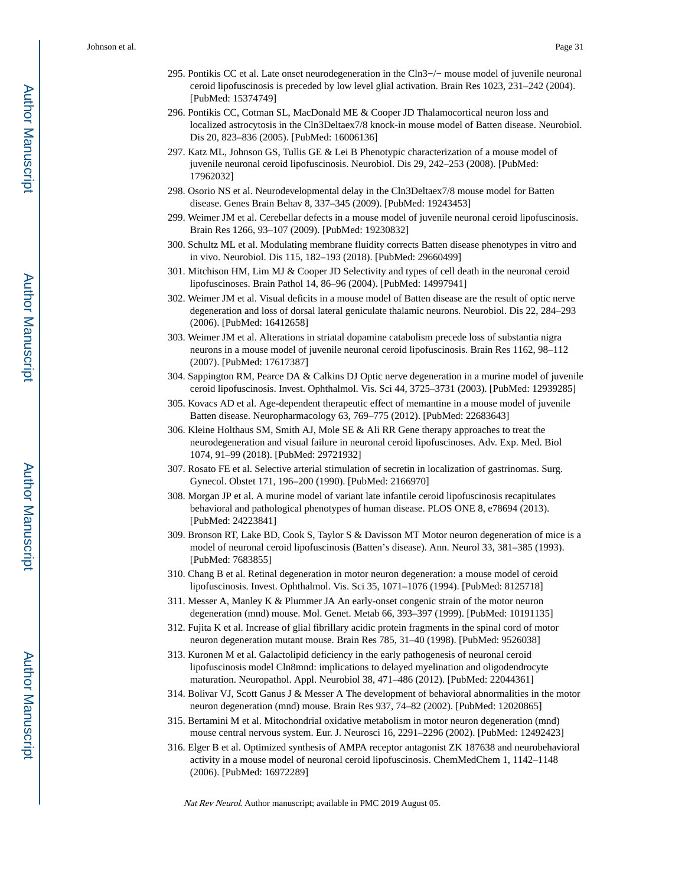- 295. Pontikis CC et al. Late onset neurodegeneration in the Cln3−/− mouse model of juvenile neuronal ceroid lipofuscinosis is preceded by low level glial activation. Brain Res 1023, 231–242 (2004). [PubMed: 15374749]
- 296. Pontikis CC, Cotman SL, MacDonald ME & Cooper JD Thalamocortical neuron loss and localized astrocytosis in the Cln3Deltaex7/8 knock-in mouse model of Batten disease. Neurobiol. Dis 20, 823–836 (2005). [PubMed: 16006136]
- 297. Katz ML, Johnson GS, Tullis GE & Lei B Phenotypic characterization of a mouse model of juvenile neuronal ceroid lipofuscinosis. Neurobiol. Dis 29, 242–253 (2008). [PubMed: 17962032]
- 298. Osorio NS et al. Neurodevelopmental delay in the Cln3Deltaex7/8 mouse model for Batten disease. Genes Brain Behav 8, 337–345 (2009). [PubMed: 19243453]
- 299. Weimer JM et al. Cerebellar defects in a mouse model of juvenile neuronal ceroid lipofuscinosis. Brain Res 1266, 93–107 (2009). [PubMed: 19230832]
- 300. Schultz ML et al. Modulating membrane fluidity corrects Batten disease phenotypes in vitro and in vivo. Neurobiol. Dis 115, 182–193 (2018). [PubMed: 29660499]
- 301. Mitchison HM, Lim MJ & Cooper JD Selectivity and types of cell death in the neuronal ceroid lipofuscinoses. Brain Pathol 14, 86–96 (2004). [PubMed: 14997941]
- 302. Weimer JM et al. Visual deficits in a mouse model of Batten disease are the result of optic nerve degeneration and loss of dorsal lateral geniculate thalamic neurons. Neurobiol. Dis 22, 284–293 (2006). [PubMed: 16412658]
- 303. Weimer JM et al. Alterations in striatal dopamine catabolism precede loss of substantia nigra neurons in a mouse model of juvenile neuronal ceroid lipofuscinosis. Brain Res 1162, 98–112 (2007). [PubMed: 17617387]
- 304. Sappington RM, Pearce DA & Calkins DJ Optic nerve degeneration in a murine model of juvenile ceroid lipofuscinosis. Invest. Ophthalmol. Vis. Sci 44, 3725–3731 (2003). [PubMed: 12939285]
- 305. Kovacs AD et al. Age-dependent therapeutic effect of memantine in a mouse model of juvenile Batten disease. Neuropharmacology 63, 769–775 (2012). [PubMed: 22683643]
- 306. Kleine Holthaus SM, Smith AJ, Mole SE & Ali RR Gene therapy approaches to treat the neurodegeneration and visual failure in neuronal ceroid lipofuscinoses. Adv. Exp. Med. Biol 1074, 91–99 (2018). [PubMed: 29721932]
- 307. Rosato FE et al. Selective arterial stimulation of secretin in localization of gastrinomas. Surg. Gynecol. Obstet 171, 196–200 (1990). [PubMed: 2166970]
- 308. Morgan JP et al. A murine model of variant late infantile ceroid lipofuscinosis recapitulates behavioral and pathological phenotypes of human disease. PLOS ONE 8, e78694 (2013). [PubMed: 24223841]
- 309. Bronson RT, Lake BD, Cook S, Taylor S & Davisson MT Motor neuron degeneration of mice is a model of neuronal ceroid lipofuscinosis (Batten's disease). Ann. Neurol 33, 381–385 (1993). [PubMed: 7683855]
- 310. Chang B et al. Retinal degeneration in motor neuron degeneration: a mouse model of ceroid lipofuscinosis. Invest. Ophthalmol. Vis. Sci 35, 1071–1076 (1994). [PubMed: 8125718]
- 311. Messer A, Manley K & Plummer JA An early-onset congenic strain of the motor neuron degeneration (mnd) mouse. Mol. Genet. Metab 66, 393–397 (1999). [PubMed: 10191135]
- 312. Fujita K et al. Increase of glial fibrillary acidic protein fragments in the spinal cord of motor neuron degeneration mutant mouse. Brain Res 785, 31–40 (1998). [PubMed: 9526038]
- 313. Kuronen M et al. Galactolipid deficiency in the early pathogenesis of neuronal ceroid lipofuscinosis model Cln8mnd: implications to delayed myelination and oligodendrocyte maturation. Neuropathol. Appl. Neurobiol 38, 471–486 (2012). [PubMed: 22044361]
- 314. Bolivar VJ, Scott Ganus J & Messer A The development of behavioral abnormalities in the motor neuron degeneration (mnd) mouse. Brain Res 937, 74–82 (2002). [PubMed: 12020865]
- 315. Bertamini M et al. Mitochondrial oxidative metabolism in motor neuron degeneration (mnd) mouse central nervous system. Eur. J. Neurosci 16, 2291–2296 (2002). [PubMed: 12492423]
- 316. Elger B et al. Optimized synthesis of AMPA receptor antagonist ZK 187638 and neurobehavioral activity in a mouse model of neuronal ceroid lipofuscinosis. ChemMedChem 1, 1142–1148 (2006). [PubMed: 16972289]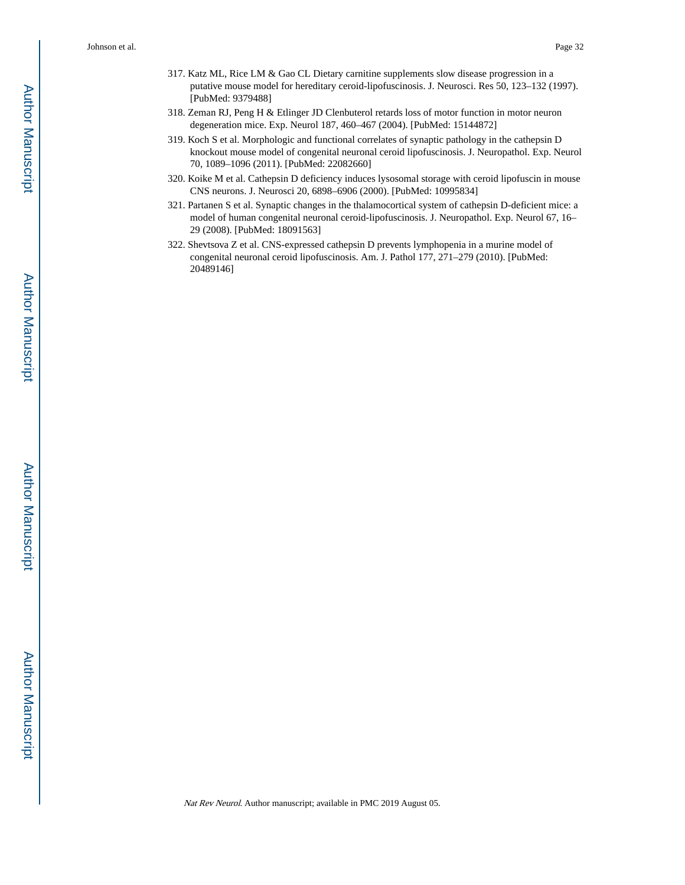- 317. Katz ML, Rice LM & Gao CL Dietary carnitine supplements slow disease progression in a putative mouse model for hereditary ceroid-lipofuscinosis. J. Neurosci. Res 50, 123–132 (1997). [PubMed: 9379488]
- 318. Zeman RJ, Peng H & Etlinger JD Clenbuterol retards loss of motor function in motor neuron degeneration mice. Exp. Neurol 187, 460–467 (2004). [PubMed: 15144872]
- 319. Koch S et al. Morphologic and functional correlates of synaptic pathology in the cathepsin D knockout mouse model of congenital neuronal ceroid lipofuscinosis. J. Neuropathol. Exp. Neurol 70, 1089–1096 (2011). [PubMed: 22082660]
- 320. Koike M et al. Cathepsin D deficiency induces lysosomal storage with ceroid lipofuscin in mouse CNS neurons. J. Neurosci 20, 6898–6906 (2000). [PubMed: 10995834]
- 321. Partanen S et al. Synaptic changes in the thalamocortical system of cathepsin D-deficient mice: a model of human congenital neuronal ceroid-lipofuscinosis. J. Neuropathol. Exp. Neurol 67, 16– 29 (2008). [PubMed: 18091563]
- 322. Shevtsova Z et al. CNS-expressed cathepsin D prevents lymphopenia in a murine model of congenital neuronal ceroid lipofuscinosis. Am. J. Pathol 177, 271–279 (2010). [PubMed: 20489146]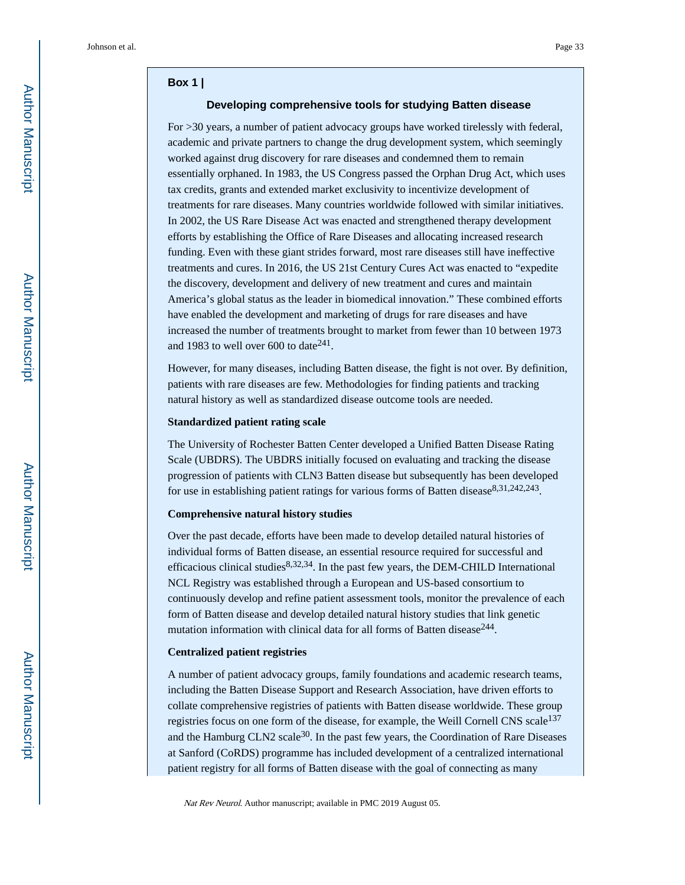#### **Box 1 |**

#### **Developing comprehensive tools for studying Batten disease**

For >30 years, a number of patient advocacy groups have worked tirelessly with federal, academic and private partners to change the drug development system, which seemingly worked against drug discovery for rare diseases and condemned them to remain essentially orphaned. In 1983, the US Congress passed the Orphan Drug Act, which uses tax credits, grants and extended market exclusivity to incentivize development of treatments for rare diseases. Many countries worldwide followed with similar initiatives. In 2002, the US Rare Disease Act was enacted and strengthened therapy development efforts by establishing the Office of Rare Diseases and allocating increased research funding. Even with these giant strides forward, most rare diseases still have ineffective treatments and cures. In 2016, the US 21st Century Cures Act was enacted to "expedite the discovery, development and delivery of new treatment and cures and maintain America's global status as the leader in biomedical innovation." These combined efforts have enabled the development and marketing of drugs for rare diseases and have increased the number of treatments brought to market from fewer than 10 between 1973 and 1983 to well over  $600$  to date $^{241}$ .

However, for many diseases, including Batten disease, the fight is not over. By definition, patients with rare diseases are few. Methodologies for finding patients and tracking natural history as well as standardized disease outcome tools are needed.

#### **Standardized patient rating scale**

The University of Rochester Batten Center developed a Unified Batten Disease Rating Scale (UBDRS). The UBDRS initially focused on evaluating and tracking the disease progression of patients with CLN3 Batten disease but subsequently has been developed for use in establishing patient ratings for various forms of Batten disease<sup>8,31,242,243</sup>.

#### **Comprehensive natural history studies**

Over the past decade, efforts have been made to develop detailed natural histories of individual forms of Batten disease, an essential resource required for successful and efficacious clinical studies $8,32,34$ . In the past few years, the DEM-CHILD International NCL Registry was established through a European and US-based consortium to continuously develop and refine patient assessment tools, monitor the prevalence of each form of Batten disease and develop detailed natural history studies that link genetic mutation information with clinical data for all forms of Batten disease $^{244}$ .

#### **Centralized patient registries**

A number of patient advocacy groups, family foundations and academic research teams, including the Batten Disease Support and Research Association, have driven efforts to collate comprehensive registries of patients with Batten disease worldwide. These group registries focus on one form of the disease, for example, the Weill Cornell CNS scale<sup>137</sup> and the Hamburg CLN2 scale<sup>30</sup>. In the past few years, the Coordination of Rare Diseases at Sanford (CoRDS) programme has included development of a centralized international patient registry for all forms of Batten disease with the goal of connecting as many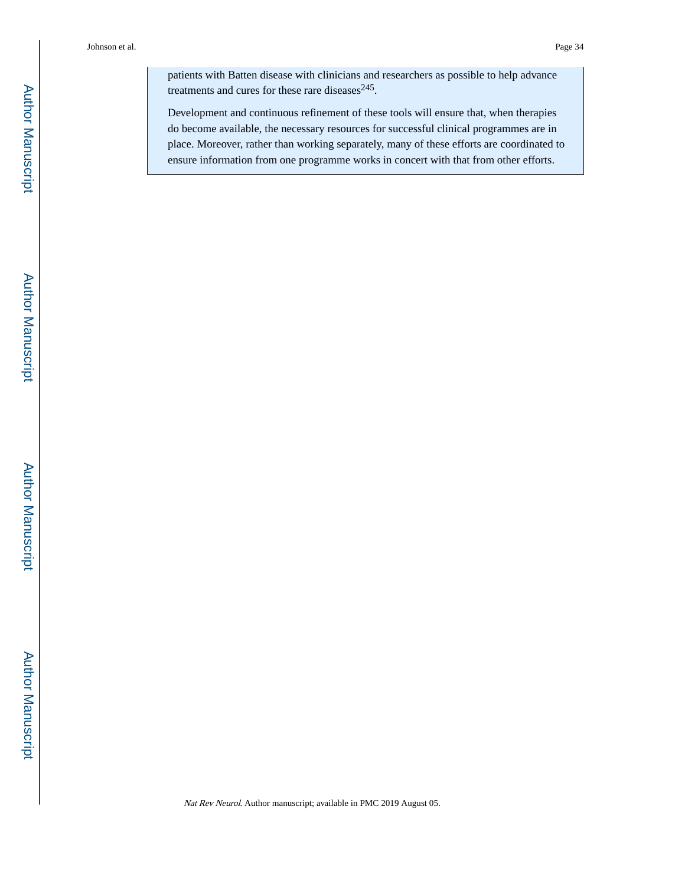patients with Batten disease with clinicians and researchers as possible to help advance treatments and cures for these rare diseases $^{245}$ .

Development and continuous refinement of these tools will ensure that, when therapies do become available, the necessary resources for successful clinical programmes are in place. Moreover, rather than working separately, many of these efforts are coordinated to ensure information from one programme works in concert with that from other efforts.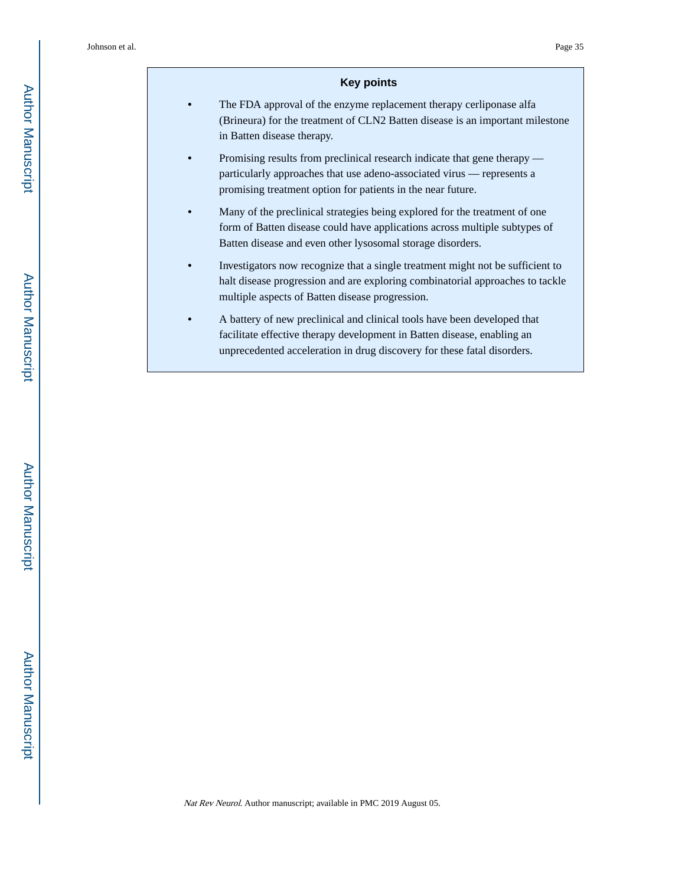#### **Key points**

- **•** The FDA approval of the enzyme replacement therapy cerliponase alfa (Brineura) for the treatment of CLN2 Batten disease is an important milestone in Batten disease therapy.
- **•** Promising results from preclinical research indicate that gene therapy particularly approaches that use adeno-associated virus — represents a promising treatment option for patients in the near future.
- **•** Many of the preclinical strategies being explored for the treatment of one form of Batten disease could have applications across multiple subtypes of Batten disease and even other lysosomal storage disorders.
- **•** Investigators now recognize that a single treatment might not be sufficient to halt disease progression and are exploring combinatorial approaches to tackle multiple aspects of Batten disease progression.
- **•** A battery of new preclinical and clinical tools have been developed that facilitate effective therapy development in Batten disease, enabling an unprecedented acceleration in drug discovery for these fatal disorders.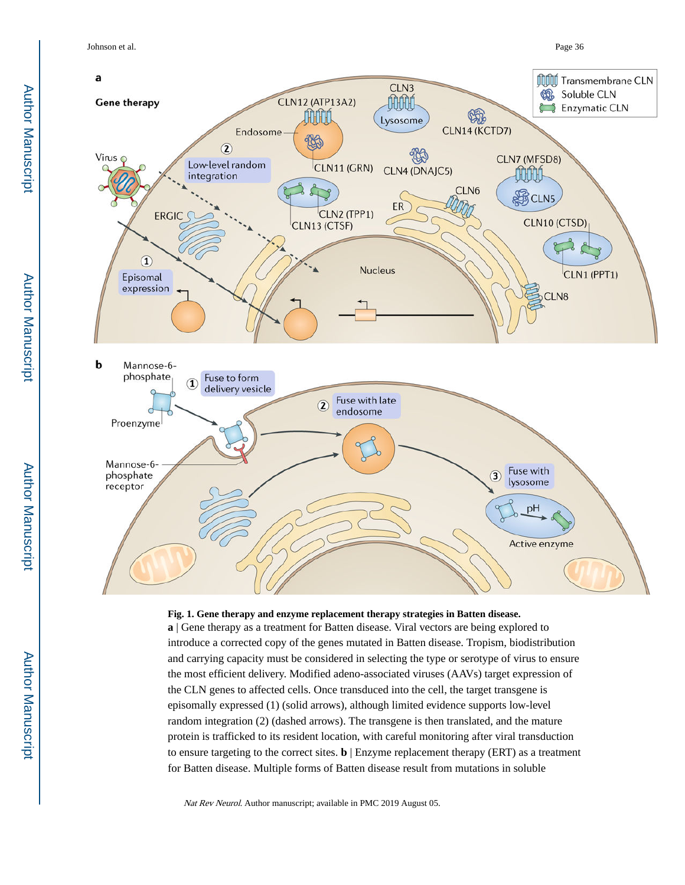Johnson et al. Page 36



#### **Fig. 1. Gene therapy and enzyme replacement therapy strategies in Batten disease.**

**a** | Gene therapy as a treatment for Batten disease. Viral vectors are being explored to introduce a corrected copy of the genes mutated in Batten disease. Tropism, biodistribution and carrying capacity must be considered in selecting the type or serotype of virus to ensure the most efficient delivery. Modified adeno-associated viruses (AAVs) target expression of the CLN genes to affected cells. Once transduced into the cell, the target transgene is episomally expressed (1) (solid arrows), although limited evidence supports low-level random integration (2) (dashed arrows). The transgene is then translated, and the mature protein is trafficked to its resident location, with careful monitoring after viral transduction to ensure targeting to the correct sites. **b** | Enzyme replacement therapy (ERT) as a treatment for Batten disease. Multiple forms of Batten disease result from mutations in soluble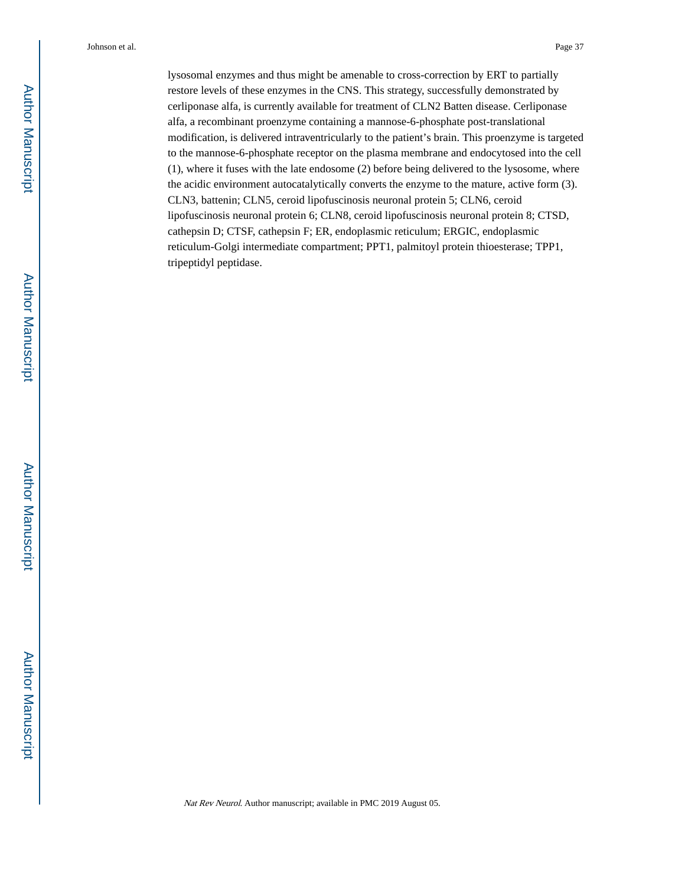lysosomal enzymes and thus might be amenable to cross-correction by ERT to partially restore levels of these enzymes in the CNS. This strategy, successfully demonstrated by cerliponase alfa, is currently available for treatment of CLN2 Batten disease. Cerliponase alfa, a recombinant proenzyme containing a mannose-6-phosphate post-translational modification, is delivered intraventricularly to the patient's brain. This proenzyme is targeted to the mannose-6-phosphate receptor on the plasma membrane and endocytosed into the cell (1), where it fuses with the late endosome (2) before being delivered to the lysosome, where the acidic environment autocatalytically converts the enzyme to the mature, active form (3). CLN3, battenin; CLN5, ceroid lipofuscinosis neuronal protein 5; CLN6, ceroid lipofuscinosis neuronal protein 6; CLN8, ceroid lipofuscinosis neuronal protein 8; CTSD, cathepsin D; CTSF, cathepsin F; ER, endoplasmic reticulum; ERGIC, endoplasmic reticulum-Golgi intermediate compartment; PPT1, palmitoyl protein thioesterase; TPP1, tripeptidyl peptidase.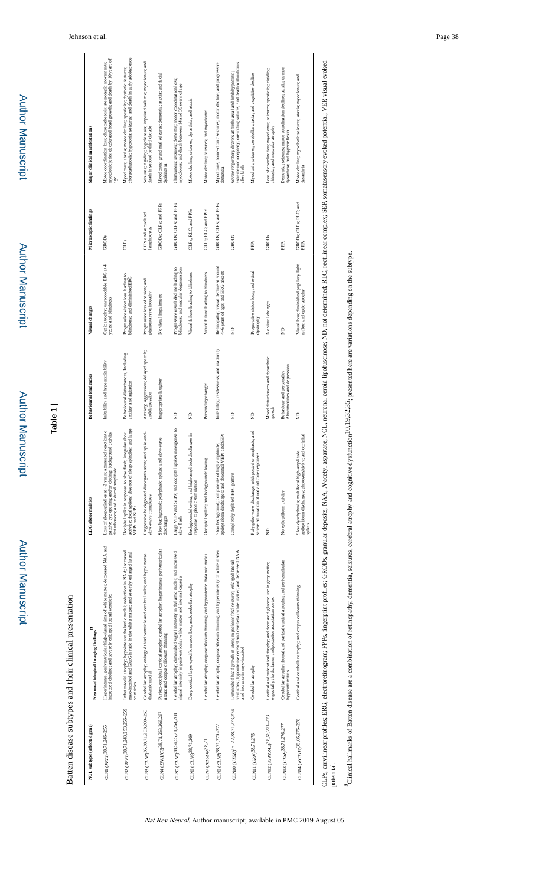Author Manuscript **Author Manuscript** 

Author Manuscript

**Author Manuscript** 

Author Manuscript

Author Manuscript

# **Table 1 |**

Batten disease subtypes and their clinical presentation Batten disease subtypes and their clinical presentation

| NCL subtype (affected gene)                   | з<br>Neuroradiological imaging findings                                                                                                                                                        | <b>EEG</b> abnormalities                                                                                                                                         | <b>Behavioural tendencies</b>                                | Visual changes                                                               | Microscopic findings               | Major clinical manifestations                                                                                                                      |
|-----------------------------------------------|------------------------------------------------------------------------------------------------------------------------------------------------------------------------------------------------|------------------------------------------------------------------------------------------------------------------------------------------------------------------|--------------------------------------------------------------|------------------------------------------------------------------------------|------------------------------------|----------------------------------------------------------------------------------------------------------------------------------------------------|
| CLN1 (PPT1) <sup>38,71,246-255</sup>          | Hyperintense, periventricular high-signal rims of white matter; decreased NAA and<br>increased choline; and severely enlarged lateral ventricles                                               | tion to<br>passive eye opening and/or closing; background activity<br>Loss of sleep spindles at ~2 years; attenuated reac<br>disturbances; and reduced amplitude | Irritability and hyperexcitability                           | Optic atrophy; unrecordable ERG at 4<br>years; and blindness                 | <b>GRODS</b>                       | myoclonic jerks; decelerated head growth; and death by 10 years of<br>Motor coordination loss; choreoathetosis; stereotypic movements;<br>age      |
| CLN2 (TPP1) <sup>38</sup> ,71,243,253,256-259 | Infratentorial atrophy; hypointense thalamic nuclei; reduction in NAA; increased<br>myo-inositol and Glu:Gln ratio in the white matter; and severely enlarged lateral<br>ventricles            | activity; focal spikes; absence of sleep spindles; and large<br>Occipital spike in response to slow flash; irregular slow<br>VEPs and SEPs                       | Behavioural disturbances, Including<br>anxiety and agitation | Progressive vision loss leading to<br>blindness; and diminished ERG          | CLPs                               | choreoathetosis; hypotonia; seizures; and death in early adolescence<br>Myoclonus; ataxia; motor decline; spasticity; dystonic features;           |
| CLN3 (CLN3) <sup>35</sup> ,38,71,253,260-265  | Cerebellar atrophy; enlarged third ventricle and cerebral sulci; and hypointense<br>thalamic nuclei                                                                                            | Progressive background disorganization; and spike-and-<br>slow-wave complexes                                                                                    | Anxiety; aggression; delayed speech;<br>and depression       | Progressive loss of vision; and<br>pigmentary retinopathy                    | FPPs and vacuolated<br>lymphocytes | Seizures; rigidity; hypokinesia; impaired balance; myoclonus; and<br>death in second or third decade                                               |
| СLN4 (DNAJC5)38,71,253,266,267                | Parieto-occipital cortical atrophy; cerebellar atrophy; hyperintense periventricular<br>areas; and corpus callosum thinning                                                                    | Slow background; polyphasic spikes; and slow-wave<br>discharges                                                                                                  | Inappropriate laughter                                       | No visual impairment                                                         | GRODs; CLPs; and FPPs              | Myoclonus; grand mal seizures; dementia; ataxia; and facial<br>dyskinesia                                                                          |
| CLN5 (CLN5) <sup>38,54,55,71,264,268</sup>    | Cerebellar atrophy; diminished signal intensity in thalamic nuclei; and increased<br>signal intensity in periventricular white matter and internal capsule                                     | Large VEPs and SEPs; and occipital spikes in response to<br>slow flash                                                                                           | $\frac{1}{2}$                                                | Progressive visual decline leading to<br>blindness; and macular degeneration | GRODs; CLPs; and FPPs              | Clumsiness; seizures; dementia; motor coordination loss;<br>myoclonus; and death between 14 and 36 years of age                                    |
| CLN6 (CLN6) <sup>38,71,269</sup>              | Deep cortical layer-specific neuron loss; and cerebellar atrophy                                                                                                                               | Background slowing; and high-amplitude discharges in<br>response to photic stimulation                                                                           | $\frac{1}{2}$                                                | Visual failure leading to blindness                                          | CLPs; RLC; and FPPs                | Motor decline; seizures; dysarthria; and ataxia                                                                                                    |
| CLN7 (MFSD8) <sup>38,71</sup>                 | Cerebellar atrophy; corpus callosum thinning; and hypointense thalamic nuclei                                                                                                                  | Occipital spikes; and background slowing                                                                                                                         | Personality changes                                          | Visual failure leading to blindness                                          | CLPs; RLC; and FPPs                | Motor decline; seizures; and myoclonus                                                                                                             |
| CLN8 (CLN8)38,71,270-272                      | Cerebellar atrophy; corpus callosum thinning; and hyperintensity of white matter                                                                                                               | epileptiform discharges; and abnormal VEPs and SEPs<br>Slow background; components of high amplitude;                                                            | Irritability; restlessness; and inactivity                   | Retinopathy; visual decline at around<br>4-6 years of age; and ERG absent    | GRODs; CLPs; and FPPs              | Myoclonus; tonic-clonic seizures; motor decline; and progressive<br>dementia                                                                       |
| CLN10 (CTSD) 15-22,38,71,273,274              | ventricles; hypointense cerebral and cerebellar white matter, and decreased NAA<br>Diminished head growth in utero; myoclonic fetal seizures; enlarged lateral<br>and increase in myo-inositol | Completely depleted EEG pattern                                                                                                                                  | $\frac{1}{2}$                                                | g                                                                            | <b>GRODS</b>                       | extreme microcephaly; overriding sutures; and death within hours<br>Severe respiratory distress at birth; axial and limb hypotonia;<br>after birth |
| CLN11 (GRN) <sup>38,71,275</sup>              | Cerebellar atrophy                                                                                                                                                                             | Polyspike-wave discharges with posterior emphasis; and<br>severe attenuation of rod and cone responses                                                           | $\widehat{\mathbb{E}}$                                       | Progressive vision loss; and retinal<br>dystrophy                            | FPPs                               | Myoclonic seizures; cerebellar ataxia; and cognitive decline                                                                                       |
| CLN12 (ATPI3A2) <sup>38,66,271-273</sup>      | Cortical and subcortical atrophy; and decreased glucose use in grey matter,<br>especially the thalamus and posterior association cortex                                                        | g                                                                                                                                                                | Mood disturbances and dysarthric<br>speech                   | No visual changes                                                            | GRODS                              | Loss of coordination; myoclonus; seizures; spasticity; rigidity;<br>akinesia; and muscular atrophy                                                 |
| CLN13 (CTSF) <sup>38,71,276,277</sup>         | Cerebellar atrophy; frontal and parietal cortical atrophy; and periventricular<br>hyperintensities                                                                                             | No epileptiform activity                                                                                                                                         | Abnomalities and depression<br>Behaviour and personality     | g                                                                            | FPPs                               | Dementia; seizures; motor coordination decline; ataxia; tremor;<br>dysarthria; and hyperreflexia                                                   |
| СLN14 (КСТD7)38,66,276-278                    | Cortical and cerebellar atrophy; and corpus callosum thinning                                                                                                                                  | epileptiform discharges; photosensitivity; and occipital<br>Slow dysrhythmia; multifocal high-amplitude<br>spikes                                                | ŝ                                                            | Visual loss; diminished pupillary light<br>reflex; and optic atrophy         | GRODs; CLPs; RLC; and<br>FPPs      | Motor decline; myoclonic seizures; ataxia; myoclonus; and<br>dysarthria                                                                            |
| $\vdots$                                      | $\frac{1}{2}$<br>$\frac{1}{2}$<br>$\ddot{\cdot}$<br>$\frac{1}{2}$                                                                                                                              | ֓׆<br>֧֞֝֬<br>化二甲基苯甲酸 医心包 医心包 医心包 医心包 医心包 医心包 医心包 医心包 医心包的                                                                                                       |                                                              | j<br>$\ddot{ }$<br>$\overline{\phantom{a}}$                                  | f                                  | $\ddot{a}$                                                                                                                                         |

Nat Rev Neurol. Author manuscript; available in PMC 2019 August 05.

CLPs, curvilinear profiles; Fingerprint profiles; GRODs, granular depty. The Spacety As AAA, Akacety as a care in the NCL, neuronal ceroid lipofuscinose; NAA, NAA, Accetyl aspartate; NCL, neuronal ceroid inclust RLC, recel N-acetyl aspartate; NCL, neuronal ceroid lipofuscinose; ND, not determined; RLC, rectilinear complex; SEP, somatosensory evoked potential; VEP, visual evoked CLPs, curvilinear profiles; ERG, electroretinogram; FPPs, fingerprint profiles; GRODs, granular deposits; NAA, potential.

<sup>2</sup>Clinical hallmarks of Batten disease are a combination of retinopathy, dementa, seizures, cerebral atrophy and cognitive dysfunction 10.19.32.35; presented here are variations depending on the subtype. Clinical hallmarks of Batten disease are a combination of retinopathy, dementia, seizures, cerebral atrophy and cognitive dysfunction10,19,32,35; presented here are variations depending on the subtype.